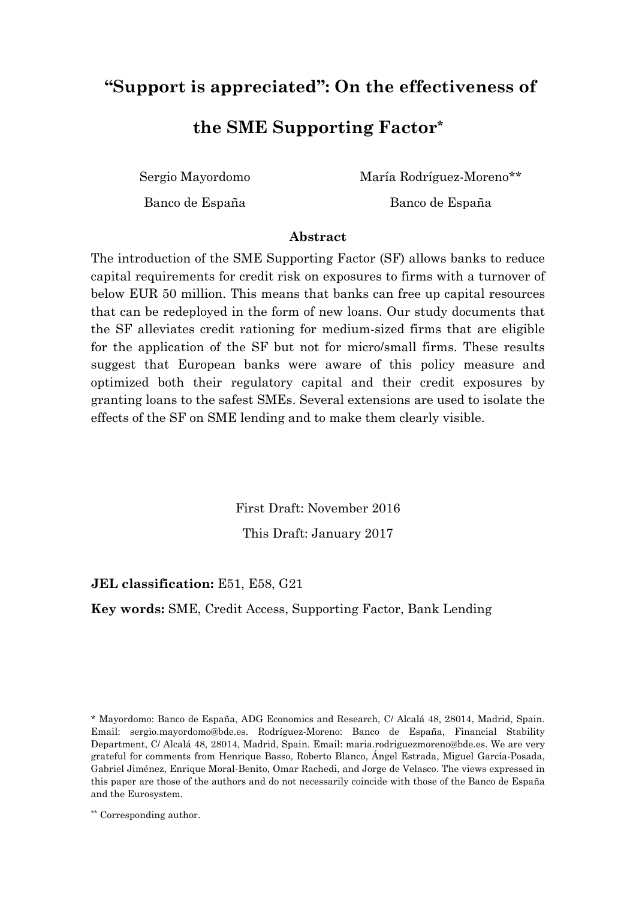# **"Support is appreciated": On the effectiveness of**

### **the SME Supporting Factor\***

Sergio Mayordomo

María Rodríguez-Moreno\*\*

Banco de España

Banco de España

### **Abstract**

The introduction of the SME Supporting Factor (SF) allows banks to reduce capital requirements for credit risk on exposures to firms with a turnover of below EUR 50 million. This means that banks can free up capital resources that can be redeployed in the form of new loans. Our study documents that the SF alleviates credit rationing for medium-sized firms that are eligible for the application of the SF but not for micro/small firms. These results suggest that European banks were aware of this policy measure and optimized both their regulatory capital and their credit exposures by granting loans to the safest SMEs. Several extensions are used to isolate the effects of the SF on SME lending and to make them clearly visible.

> First Draft: November 2016 This Draft: January 2017

### **JEL classification:** E51, E58, G21

**Key words:** SME, Credit Access, Supporting Factor, Bank Lending

<sup>\*</sup> Mayordomo: Banco de España, ADG Economics and Research, C/ Alcalá 48, 28014, Madrid, Spain. Email: sergio.mayordomo@bde.es. Rodríguez-Moreno: Banco de España, Financial Stability Department, C/ Alcalá 48, 28014, Madrid, Spain. Email: maria.rodriguezmoreno@bde.es. We are very grateful for comments from Henrique Basso, Roberto Blanco, Ángel Estrada, Miguel García-Posada, Gabriel Jiménez, Enrique Moral-Benito, Omar Rachedi, and Jorge de Velasco. The views expressed in this paper are those of the authors and do not necessarily coincide with those of the Banco de España and the Eurosystem.

<sup>\*\*</sup> Corresponding author.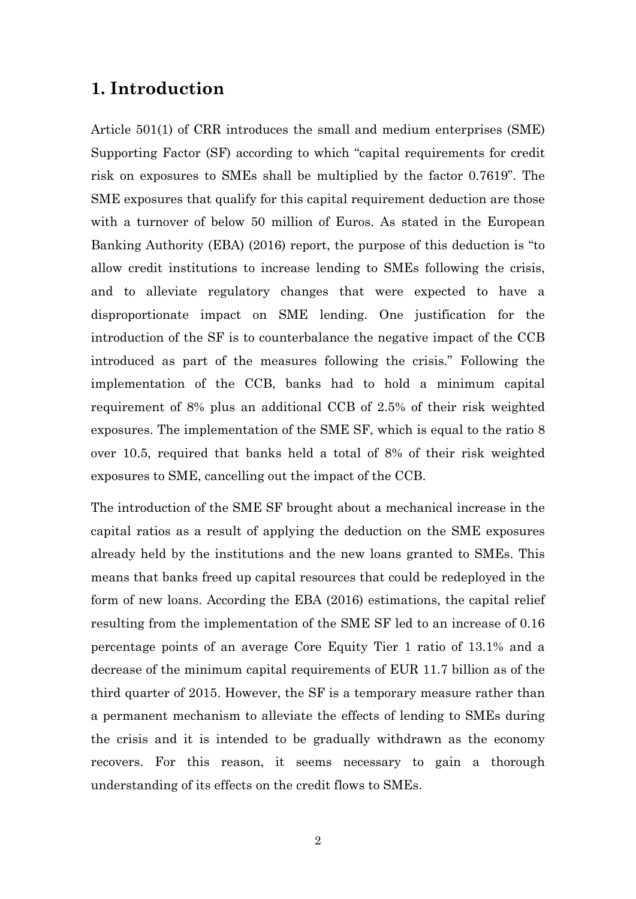### **1. Introduction**

Article 501(1) of CRR introduces the small and medium enterprises (SME) Supporting Factor (SF) according to which "capital requirements for credit risk on exposures to SMEs shall be multiplied by the factor 0.7619". The SME exposures that qualify for this capital requirement deduction are those with a turnover of below 50 million of Euros. As stated in the European Banking Authority (EBA) (2016) report, the purpose of this deduction is "to allow credit institutions to increase lending to SMEs following the crisis, and to alleviate regulatory changes that were expected to have a disproportionate impact on SME lending. One justification for the introduction of the SF is to counterbalance the negative impact of the CCB introduced as part of the measures following the crisis." Following the implementation of the CCB, banks had to hold a minimum capital requirement of 8% plus an additional CCB of 2.5% of their risk weighted exposures. The implementation of the SME SF, which is equal to the ratio 8 over 10.5, required that banks held a total of 8% of their risk weighted exposures to SME, cancelling out the impact of the CCB.

The introduction of the SME SF brought about a mechanical increase in the capital ratios as a result of applying the deduction on the SME exposures already held by the institutions and the new loans granted to SMEs. This means that banks freed up capital resources that could be redeployed in the form of new loans. According the EBA (2016) estimations, the capital relief resulting from the implementation of the SME SF led to an increase of 0.16 percentage points of an average Core Equity Tier 1 ratio of 13.1% and a decrease of the minimum capital requirements of EUR 11.7 billion as of the third quarter of 2015. However, the SF is a temporary measure rather than a permanent mechanism to alleviate the effects of lending to SMEs during the crisis and it is intended to be gradually withdrawn as the economy recovers. For this reason, it seems necessary to gain a thorough understanding of its effects on the credit flows to SMEs.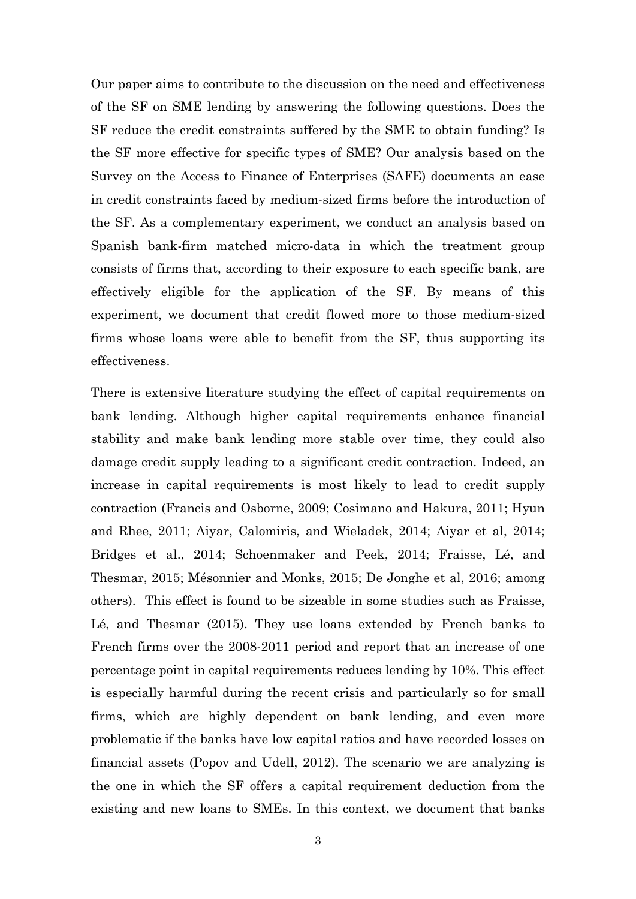Our paper aims to contribute to the discussion on the need and effectiveness of the SF on SME lending by answering the following questions. Does the SF reduce the credit constraints suffered by the SME to obtain funding? Is the SF more effective for specific types of SME? Our analysis based on the Survey on the Access to Finance of Enterprises (SAFE) documents an ease in credit constraints faced by medium-sized firms before the introduction of the SF. As a complementary experiment, we conduct an analysis based on Spanish bank-firm matched micro-data in which the treatment group consists of firms that, according to their exposure to each specific bank, are effectively eligible for the application of the SF. By means of this experiment, we document that credit flowed more to those medium-sized firms whose loans were able to benefit from the SF, thus supporting its effectiveness.

There is extensive literature studying the effect of capital requirements on bank lending. Although higher capital requirements enhance financial stability and make bank lending more stable over time, they could also damage credit supply leading to a significant credit contraction. Indeed, an increase in capital requirements is most likely to lead to credit supply contraction (Francis and Osborne, 2009; Cosimano and Hakura, 2011; Hyun and Rhee, 2011; Aiyar, Calomiris, and Wieladek, 2014; Aiyar et al, 2014; Bridges et al., 2014; Schoenmaker and Peek, 2014; Fraisse, Lé, and Thesmar, 2015; Mésonnier and Monks, 2015; De Jonghe et al, 2016; among others). This effect is found to be sizeable in some studies such as Fraisse, Lé, and Thesmar (2015). They use loans extended by French banks to French firms over the 2008-2011 period and report that an increase of one percentage point in capital requirements reduces lending by 10%. This effect is especially harmful during the recent crisis and particularly so for small firms, which are highly dependent on bank lending, and even more problematic if the banks have low capital ratios and have recorded losses on financial assets (Popov and Udell, 2012). The scenario we are analyzing is the one in which the SF offers a capital requirement deduction from the existing and new loans to SMEs. In this context, we document that banks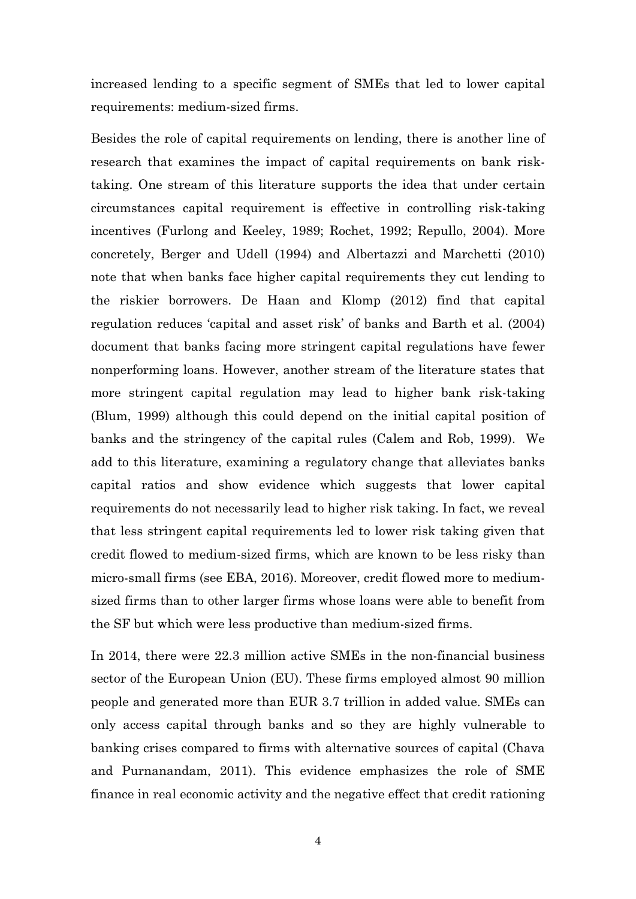increased lending to a specific segment of SMEs that led to lower capital requirements: medium-sized firms.

Besides the role of capital requirements on lending, there is another line of research that examines the impact of capital requirements on bank risktaking. One stream of this literature supports the idea that under certain circumstances capital requirement is effective in controlling risk-taking incentives (Furlong and Keeley, 1989; Rochet, 1992; Repullo, 2004). More concretely, Berger and Udell (1994) and Albertazzi and Marchetti (2010) note that when banks face higher capital requirements they cut lending to the riskier borrowers. De Haan and Klomp (2012) find that capital regulation reduces 'capital and asset risk' of banks and Barth et al. (2004) document that banks facing more stringent capital regulations have fewer nonperforming loans. However, another stream of the literature states that more stringent capital regulation may lead to higher bank risk-taking (Blum, 1999) although this could depend on the initial capital position of banks and the stringency of the capital rules (Calem and Rob, 1999). We add to this literature, examining a regulatory change that alleviates banks capital ratios and show evidence which suggests that lower capital requirements do not necessarily lead to higher risk taking. In fact, we reveal that less stringent capital requirements led to lower risk taking given that credit flowed to medium-sized firms, which are known to be less risky than micro-small firms (see EBA, 2016). Moreover, credit flowed more to mediumsized firms than to other larger firms whose loans were able to benefit from the SF but which were less productive than medium-sized firms.

In 2014, there were 22.3 million active SMEs in the non-financial business sector of the European Union (EU). These firms employed almost 90 million people and generated more than EUR 3.7 trillion in added value. SMEs can only access capital through banks and so they are highly vulnerable to banking crises compared to firms with alternative sources of capital (Chava and Purnanandam, 2011). This evidence emphasizes the role of SME finance in real economic activity and the negative effect that credit rationing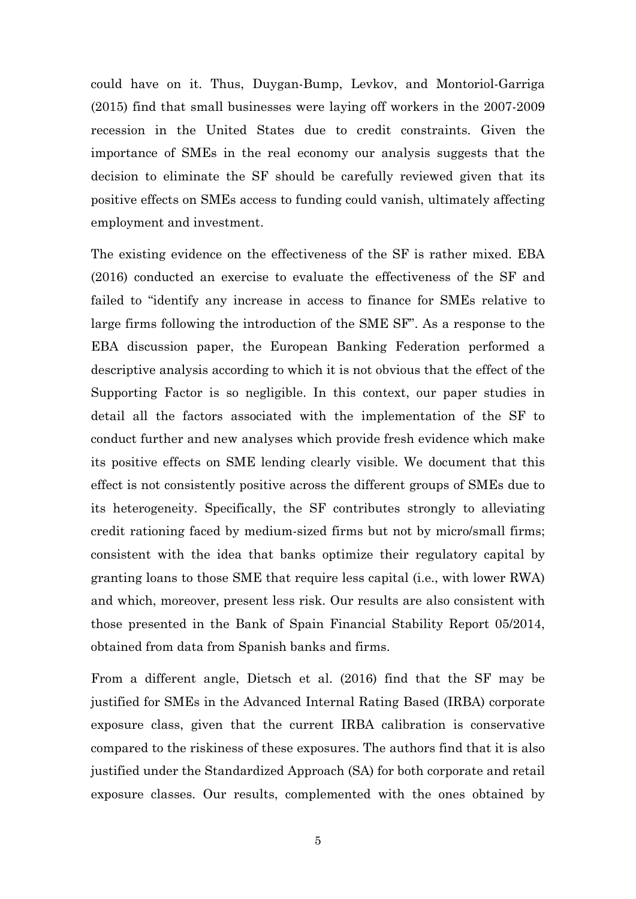could have on it. Thus, Duygan-Bump, Levkov, and Montoriol-Garriga (2015) find that small businesses were laying off workers in the 2007-2009 recession in the United States due to credit constraints. Given the importance of SMEs in the real economy our analysis suggests that the decision to eliminate the SF should be carefully reviewed given that its positive effects on SMEs access to funding could vanish, ultimately affecting employment and investment.

The existing evidence on the effectiveness of the SF is rather mixed. EBA (2016) conducted an exercise to evaluate the effectiveness of the SF and failed to "identify any increase in access to finance for SMEs relative to large firms following the introduction of the SME SF". As a response to the EBA discussion paper, the European Banking Federation performed a descriptive analysis according to which it is not obvious that the effect of the Supporting Factor is so negligible. In this context, our paper studies in detail all the factors associated with the implementation of the SF to conduct further and new analyses which provide fresh evidence which make its positive effects on SME lending clearly visible. We document that this effect is not consistently positive across the different groups of SMEs due to its heterogeneity. Specifically, the SF contributes strongly to alleviating credit rationing faced by medium-sized firms but not by micro/small firms; consistent with the idea that banks optimize their regulatory capital by granting loans to those SME that require less capital (i.e., with lower RWA) and which, moreover, present less risk. Our results are also consistent with those presented in the Bank of Spain Financial Stability Report 05/2014, obtained from data from Spanish banks and firms.

From a different angle, Dietsch et al. (2016) find that the SF may be justified for SMEs in the Advanced Internal Rating Based (IRBA) corporate exposure class, given that the current IRBA calibration is conservative compared to the riskiness of these exposures. The authors find that it is also justified under the Standardized Approach (SA) for both corporate and retail exposure classes. Our results, complemented with the ones obtained by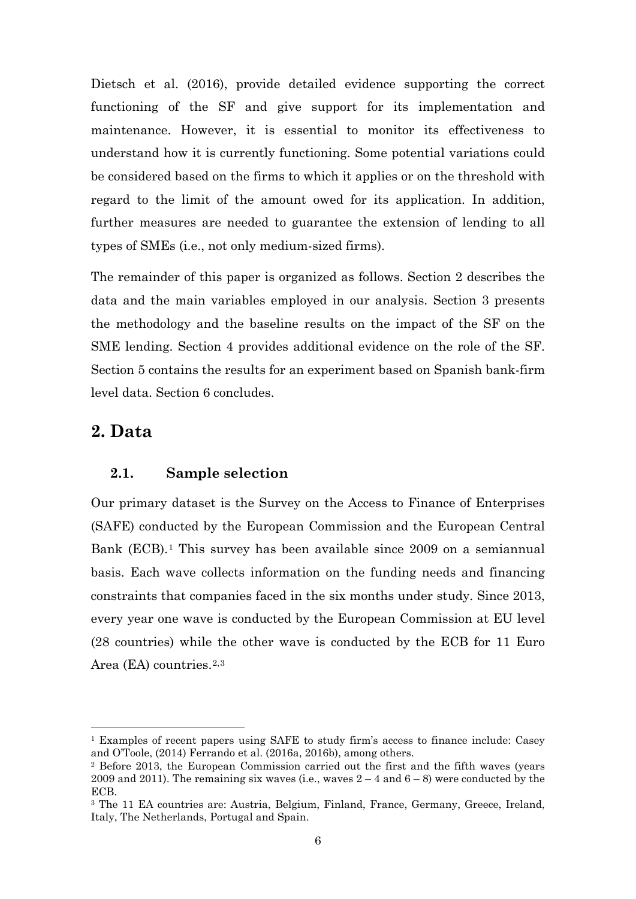Dietsch et al. (2016), provide detailed evidence supporting the correct functioning of the SF and give support for its implementation and maintenance. However, it is essential to monitor its effectiveness to understand how it is currently functioning. Some potential variations could be considered based on the firms to which it applies or on the threshold with regard to the limit of the amount owed for its application. In addition, further measures are needed to guarantee the extension of lending to all types of SMEs (i.e., not only medium-sized firms).

The remainder of this paper is organized as follows. Section 2 describes the data and the main variables employed in our analysis. Section 3 presents the methodology and the baseline results on the impact of the SF on the SME lending. Section 4 provides additional evidence on the role of the SF. Section 5 contains the results for an experiment based on Spanish bank-firm level data. Section 6 concludes.

### **2. Data**

#### **2.1. Sample selection**

Our primary dataset is the Survey on the Access to Finance of Enterprises (SAFE) conducted by the European Commission and the European Central Bank (ECB).<sup>[1](#page-5-0)</sup> This survey has been available since 2009 on a semiannual basis. Each wave collects information on the funding needs and financing constraints that companies faced in the six months under study. Since 2013, every year one wave is conducted by the European Commission at EU level (28 countries) while the other wave is conducted by the ECB for 11 Euro Area (EA) countries.[2](#page-5-1),[3](#page-5-2)

<span id="page-5-0"></span> <sup>1</sup> Examples of recent papers using SAFE to study firm's access to finance include: Casey and O'Toole, (2014) Ferrando et al. (2016a, 2016b), among others.<br><sup>2</sup> Before 2013, the European Commission carried out the first and the fifth waves (years

<span id="page-5-1"></span><sup>2009</sup> and 2011). The remaining six waves (i.e., waves  $2 - 4$  and  $6 - 8$ ) were conducted by the ECB.

<span id="page-5-2"></span><sup>3</sup> The 11 EA countries are: Austria, Belgium, Finland, France, Germany, Greece, Ireland, Italy, The Netherlands, Portugal and Spain.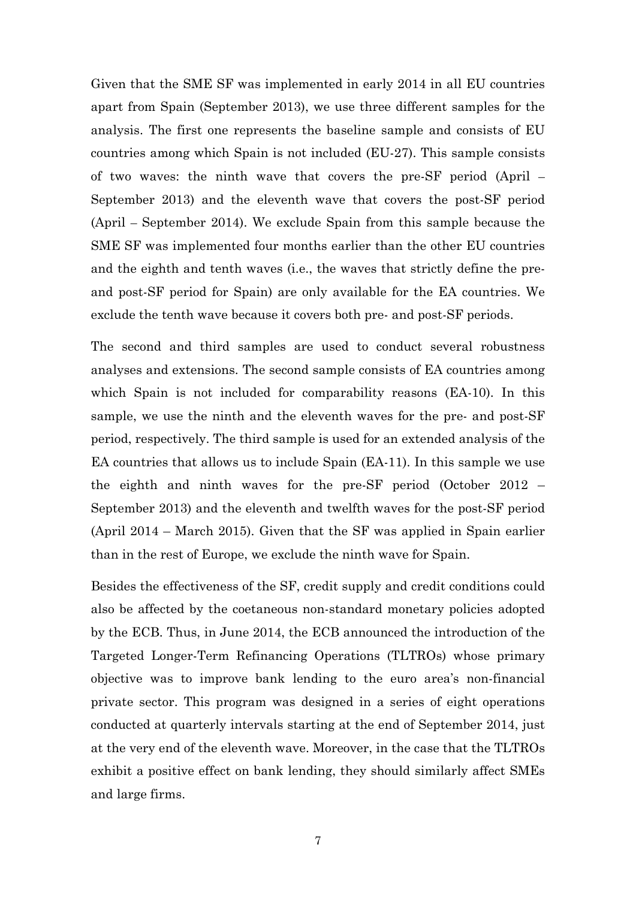Given that the SME SF was implemented in early 2014 in all EU countries apart from Spain (September 2013), we use three different samples for the analysis. The first one represents the baseline sample and consists of EU countries among which Spain is not included (EU-27). This sample consists of two waves: the ninth wave that covers the pre-SF period (April – September 2013) and the eleventh wave that covers the post-SF period (April – September 2014). We exclude Spain from this sample because the SME SF was implemented four months earlier than the other EU countries and the eighth and tenth waves (i.e., the waves that strictly define the preand post-SF period for Spain) are only available for the EA countries. We exclude the tenth wave because it covers both pre- and post-SF periods.

The second and third samples are used to conduct several robustness analyses and extensions. The second sample consists of EA countries among which Spain is not included for comparability reasons (EA-10). In this sample, we use the ninth and the eleventh waves for the pre- and post-SF period, respectively. The third sample is used for an extended analysis of the EA countries that allows us to include Spain (EA-11). In this sample we use the eighth and ninth waves for the pre-SF period (October 2012 – September 2013) and the eleventh and twelfth waves for the post-SF period (April 2014 – March 2015). Given that the SF was applied in Spain earlier than in the rest of Europe, we exclude the ninth wave for Spain.

Besides the effectiveness of the SF, credit supply and credit conditions could also be affected by the coetaneous non-standard monetary policies adopted by the ECB. Thus, in June 2014, the ECB announced the introduction of the Targeted Longer-Term Refinancing Operations (TLTROs) whose primary objective was to improve bank lending to the euro area's non-financial private sector. This program was designed in a series of eight operations conducted at quarterly intervals starting at the end of September 2014, just at the very end of the eleventh wave. Moreover, in the case that the TLTROs exhibit a positive effect on bank lending, they should similarly affect SMEs and large firms.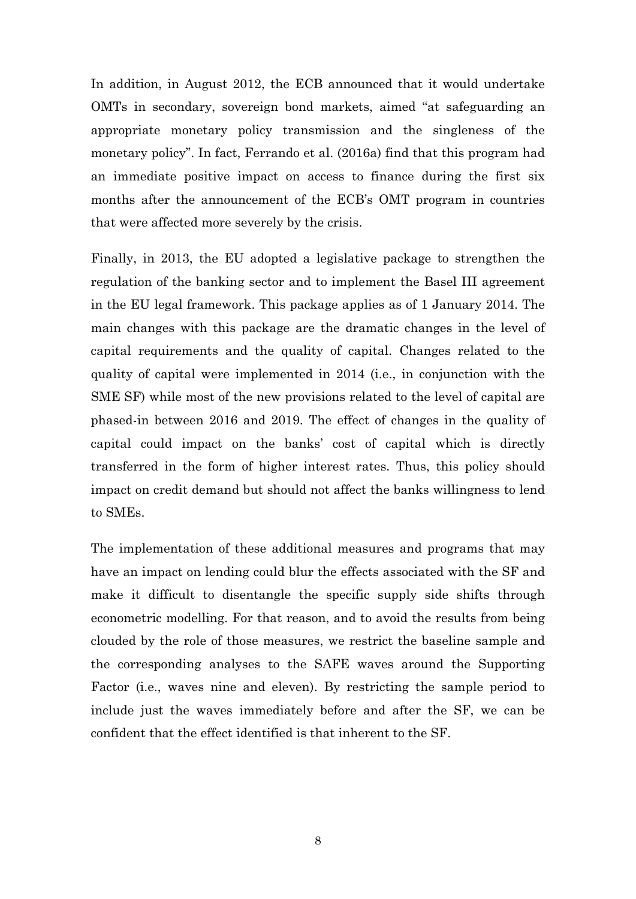In addition, in August 2012, the ECB announced that it would undertake OMTs in secondary, sovereign bond markets, aimed "at safeguarding an appropriate monetary policy transmission and the singleness of the monetary policy". In fact, Ferrando et al. (2016a) find that this program had an immediate positive impact on access to finance during the first six months after the announcement of the ECB's OMT program in countries that were affected more severely by the crisis.

Finally, in 2013, the EU adopted a legislative package to strengthen the regulation of the banking sector and to implement the Basel III agreement in the EU legal framework. This package applies as of 1 January 2014. The main changes with this package are the dramatic changes in the level of capital requirements and the quality of capital. Changes related to the quality of capital were implemented in 2014 (i.e., in conjunction with the SME SF) while most of the new provisions related to the level of capital are phased-in between 2016 and 2019. The effect of changes in the quality of capital could impact on the banks' cost of capital which is directly transferred in the form of higher interest rates. Thus, this policy should impact on credit demand but should not affect the banks willingness to lend to SMEs.

The implementation of these additional measures and programs that may have an impact on lending could blur the effects associated with the SF and make it difficult to disentangle the specific supply side shifts through econometric modelling. For that reason, and to avoid the results from being clouded by the role of those measures, we restrict the baseline sample and the corresponding analyses to the SAFE waves around the Supporting Factor (i.e., waves nine and eleven). By restricting the sample period to include just the waves immediately before and after the SF, we can be confident that the effect identified is that inherent to the SF.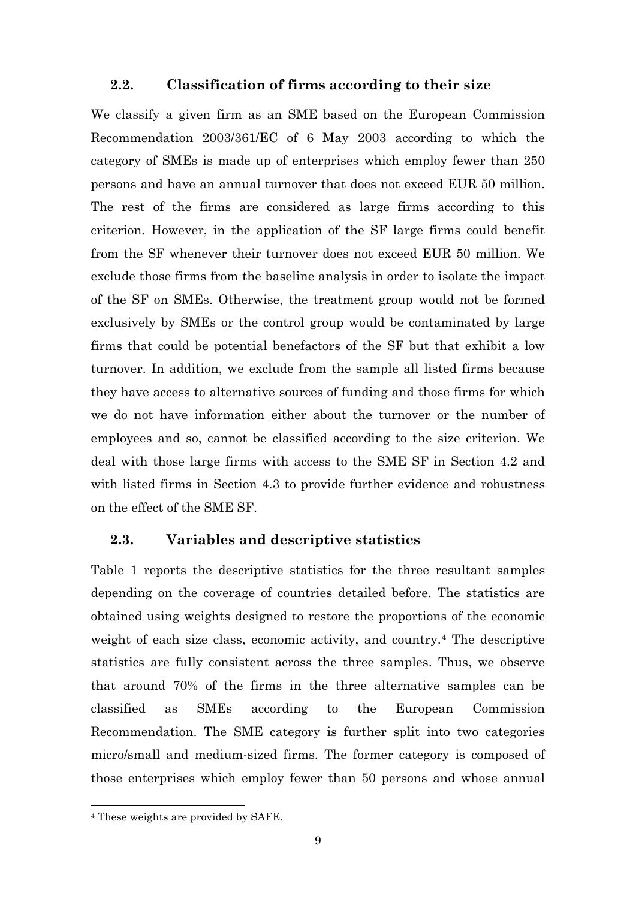### **2.2. Classification of firms according to their size**

We classify a given firm as an SME based on the European Commission Recommendation 2003/361/EC of 6 May 2003 according to which the category of SMEs is made up of enterprises which employ fewer than 250 persons and have an annual turnover that does not exceed EUR 50 million. The rest of the firms are considered as large firms according to this criterion. However, in the application of the SF large firms could benefit from the SF whenever their turnover does not exceed EUR 50 million. We exclude those firms from the baseline analysis in order to isolate the impact of the SF on SMEs. Otherwise, the treatment group would not be formed exclusively by SMEs or the control group would be contaminated by large firms that could be potential benefactors of the SF but that exhibit a low turnover. In addition, we exclude from the sample all listed firms because they have access to alternative sources of funding and those firms for which we do not have information either about the turnover or the number of employees and so, cannot be classified according to the size criterion. We deal with those large firms with access to the SME SF in Section 4.2 and with listed firms in Section 4.3 to provide further evidence and robustness on the effect of the SME SF.

### **2.3. Variables and descriptive statistics**

Table 1 reports the descriptive statistics for the three resultant samples depending on the coverage of countries detailed before. The statistics are obtained using weights designed to restore the proportions of the economic weight of each size class, economic activity, and country.<sup>[4](#page-8-0)</sup> The descriptive statistics are fully consistent across the three samples. Thus, we observe that around 70% of the firms in the three alternative samples can be classified as SMEs according to the European Commission Recommendation. The SME category is further split into two categories micro/small and medium-sized firms. The former category is composed of those enterprises which employ fewer than 50 persons and whose annual

<span id="page-8-0"></span> <sup>4</sup> These weights are provided by SAFE.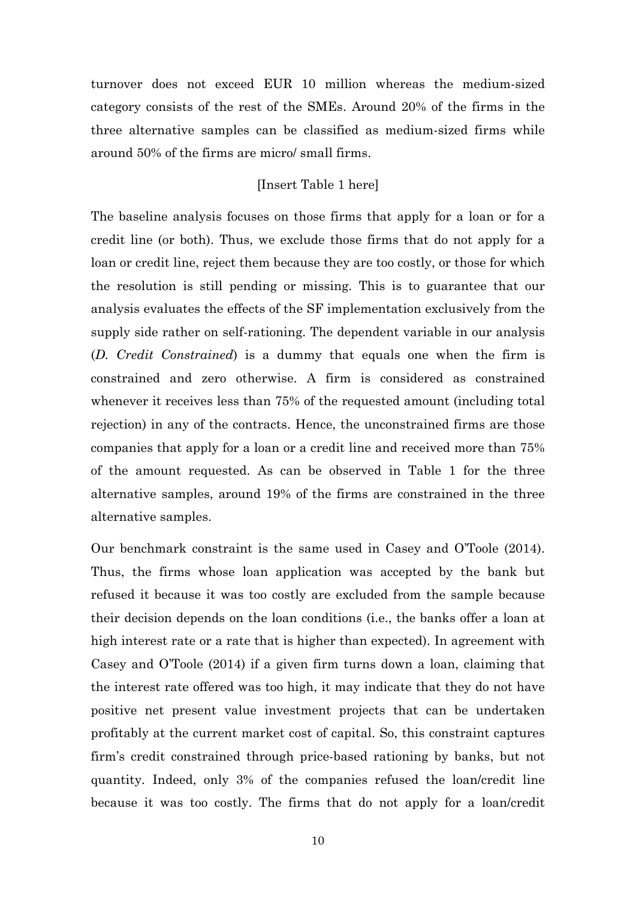turnover does not exceed EUR 10 million whereas the medium-sized category consists of the rest of the SMEs. Around 20% of the firms in the three alternative samples can be classified as medium-sized firms while around 50% of the firms are micro/ small firms.

#### [Insert Table 1 here]

The baseline analysis focuses on those firms that apply for a loan or for a credit line (or both). Thus, we exclude those firms that do not apply for a loan or credit line, reject them because they are too costly, or those for which the resolution is still pending or missing. This is to guarantee that our analysis evaluates the effects of the SF implementation exclusively from the supply side rather on self-rationing. The dependent variable in our analysis (*D. Credit Constrained*) is a dummy that equals one when the firm is constrained and zero otherwise. A firm is considered as constrained whenever it receives less than 75% of the requested amount (including total rejection) in any of the contracts. Hence, the unconstrained firms are those companies that apply for a loan or a credit line and received more than 75% of the amount requested. As can be observed in Table 1 for the three alternative samples, around 19% of the firms are constrained in the three alternative samples.

Our benchmark constraint is the same used in Casey and O'Toole (2014). Thus, the firms whose loan application was accepted by the bank but refused it because it was too costly are excluded from the sample because their decision depends on the loan conditions (i.e., the banks offer a loan at high interest rate or a rate that is higher than expected). In agreement with Casey and O'Toole (2014) if a given firm turns down a loan, claiming that the interest rate offered was too high, it may indicate that they do not have positive net present value investment projects that can be undertaken profitably at the current market cost of capital. So, this constraint captures firm's credit constrained through price-based rationing by banks, but not quantity. Indeed, only 3% of the companies refused the loan/credit line because it was too costly. The firms that do not apply for a loan/credit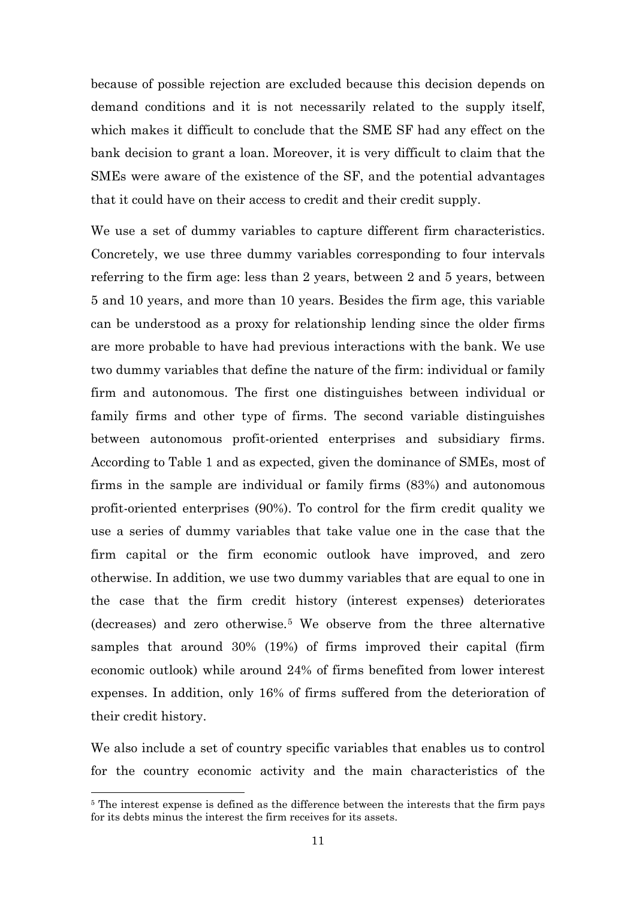because of possible rejection are excluded because this decision depends on demand conditions and it is not necessarily related to the supply itself, which makes it difficult to conclude that the SME SF had any effect on the bank decision to grant a loan. Moreover, it is very difficult to claim that the SMEs were aware of the existence of the SF, and the potential advantages that it could have on their access to credit and their credit supply.

We use a set of dummy variables to capture different firm characteristics. Concretely, we use three dummy variables corresponding to four intervals referring to the firm age: less than 2 years, between 2 and 5 years, between 5 and 10 years, and more than 10 years. Besides the firm age, this variable can be understood as a proxy for relationship lending since the older firms are more probable to have had previous interactions with the bank. We use two dummy variables that define the nature of the firm: individual or family firm and autonomous. The first one distinguishes between individual or family firms and other type of firms. The second variable distinguishes between autonomous profit-oriented enterprises and subsidiary firms. According to Table 1 and as expected, given the dominance of SMEs, most of firms in the sample are individual or family firms (83%) and autonomous profit-oriented enterprises (90%). To control for the firm credit quality we use a series of dummy variables that take value one in the case that the firm capital or the firm economic outlook have improved, and zero otherwise. In addition, we use two dummy variables that are equal to one in the case that the firm credit history (interest expenses) deteriorates (decreases) and zero otherwise.[5](#page-10-0) We observe from the three alternative samples that around 30% (19%) of firms improved their capital (firm economic outlook) while around 24% of firms benefited from lower interest expenses. In addition, only 16% of firms suffered from the deterioration of their credit history.

We also include a set of country specific variables that enables us to control for the country economic activity and the main characteristics of the

<span id="page-10-0"></span><sup>&</sup>lt;sup>5</sup> The interest expense is defined as the difference between the interests that the firm pays for its debts minus the interest the firm receives for its assets.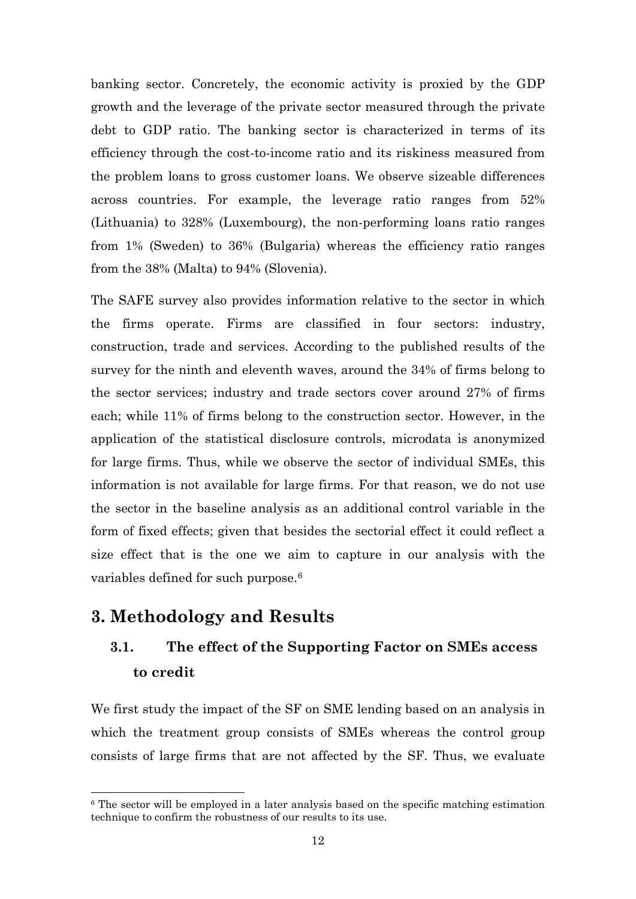banking sector. Concretely, the economic activity is proxied by the GDP growth and the leverage of the private sector measured through the private debt to GDP ratio. The banking sector is characterized in terms of its efficiency through the cost-to-income ratio and its riskiness measured from the problem loans to gross customer loans. We observe sizeable differences across countries. For example, the leverage ratio ranges from 52% (Lithuania) to 328% (Luxembourg), the non-performing loans ratio ranges from 1% (Sweden) to 36% (Bulgaria) whereas the efficiency ratio ranges from the 38% (Malta) to 94% (Slovenia).

The SAFE survey also provides information relative to the sector in which the firms operate. Firms are classified in four sectors: industry, construction, trade and services. According to the published results of the survey for the ninth and eleventh waves, around the 34% of firms belong to the sector services; industry and trade sectors cover around 27% of firms each; while 11% of firms belong to the construction sector. However, in the application of the statistical disclosure controls, microdata is anonymized for large firms. Thus, while we observe the sector of individual SMEs, this information is not available for large firms. For that reason, we do not use the sector in the baseline analysis as an additional control variable in the form of fixed effects; given that besides the sectorial effect it could reflect a size effect that is the one we aim to capture in our analysis with the variables defined for such purpose.<sup>[6](#page-11-0)</sup>

### **3. Methodology and Results**

# **3.1. The effect of the Supporting Factor on SMEs access to credit**

We first study the impact of the SF on SME lending based on an analysis in which the treatment group consists of SMEs whereas the control group consists of large firms that are not affected by the SF. Thus, we evaluate

<span id="page-11-0"></span> <sup>6</sup> The sector will be employed in a later analysis based on the specific matching estimation technique to confirm the robustness of our results to its use.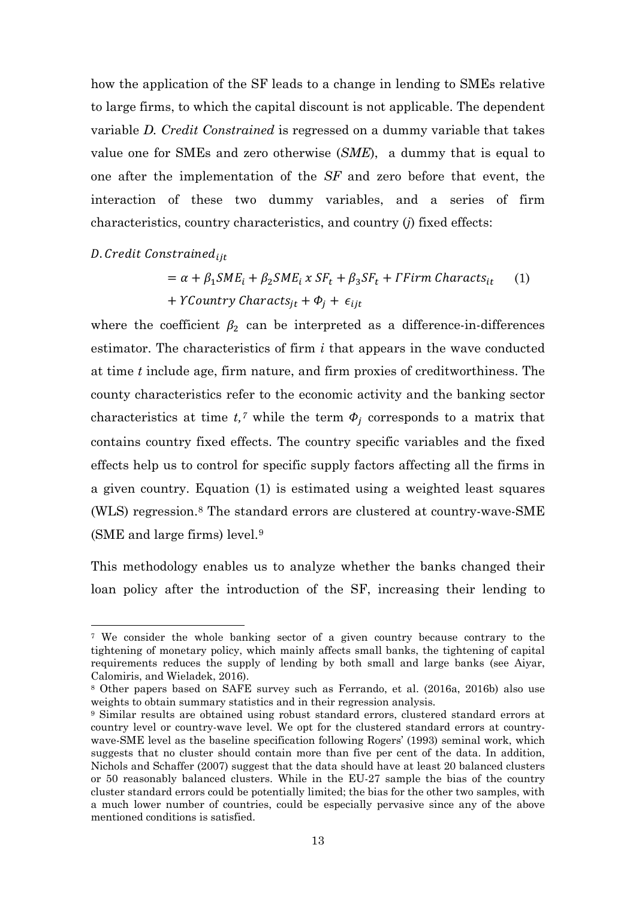how the application of the SF leads to a change in lending to SMEs relative to large firms, to which the capital discount is not applicable. The dependent variable *D. Credit Constrained* is regressed on a dummy variable that takes value one for SMEs and zero otherwise (*SME*), a dummy that is equal to one after the implementation of the *SF* and zero before that event, the interaction of these two dummy variables, and a series of firm characteristics, country characteristics, and country (*j*) fixed effects:

#### D. Credit Constrained<sub>iit</sub>

$$
= \alpha + \beta_1 S M E_i + \beta_2 S M E_i \times S F_t + \beta_3 S F_t + \Gamma F \text{irm Charcts}_{it} \tag{1}
$$
  
+  $Y \text{Country Charcts}_{jt} + \Phi_j + \epsilon_{ijt}$ 

where the coefficient  $\beta_2$  can be interpreted as a difference-in-differences estimator. The characteristics of firm *i* that appears in the wave conducted at time *t* include age, firm nature, and firm proxies of creditworthiness. The county characteristics refer to the economic activity and the banking sector characteristics at time  $t<sub>i</sub>$ <sup>[7](#page-12-0)</sup> while the term  $\Phi_i$  corresponds to a matrix that contains country fixed effects. The country specific variables and the fixed effects help us to control for specific supply factors affecting all the firms in a given country. Equation (1) is estimated using a weighted least squares (WLS) regression.[8](#page-12-1) The standard errors are clustered at country-wave-SME (SME and large firms) level.[9](#page-12-2)

This methodology enables us to analyze whether the banks changed their loan policy after the introduction of the SF, increasing their lending to

<span id="page-12-0"></span> <sup>7</sup> We consider the whole banking sector of a given country because contrary to the tightening of monetary policy, which mainly affects small banks, the tightening of capital requirements reduces the supply of lending by both small and large banks (see Aiyar, Calomiris, and Wieladek, 2016).

<span id="page-12-1"></span><sup>8</sup> Other papers based on SAFE survey such as Ferrando, et al. (2016a, 2016b) also use weights to obtain summary statistics and in their regression analysis.

<span id="page-12-2"></span><sup>9</sup> Similar results are obtained using robust standard errors, clustered standard errors at country level or country-wave level. We opt for the clustered standard errors at countrywave-SME level as the baseline specification following Rogers' (1993) seminal work, which suggests that no cluster should contain more than five per cent of the data. In addition, Nichols and Schaffer (2007) suggest that the data should have at least 20 balanced clusters or 50 reasonably balanced clusters. While in the EU-27 sample the bias of the country cluster standard errors could be potentially limited; the bias for the other two samples, with a much lower number of countries, could be especially pervasive since any of the above mentioned conditions is satisfied.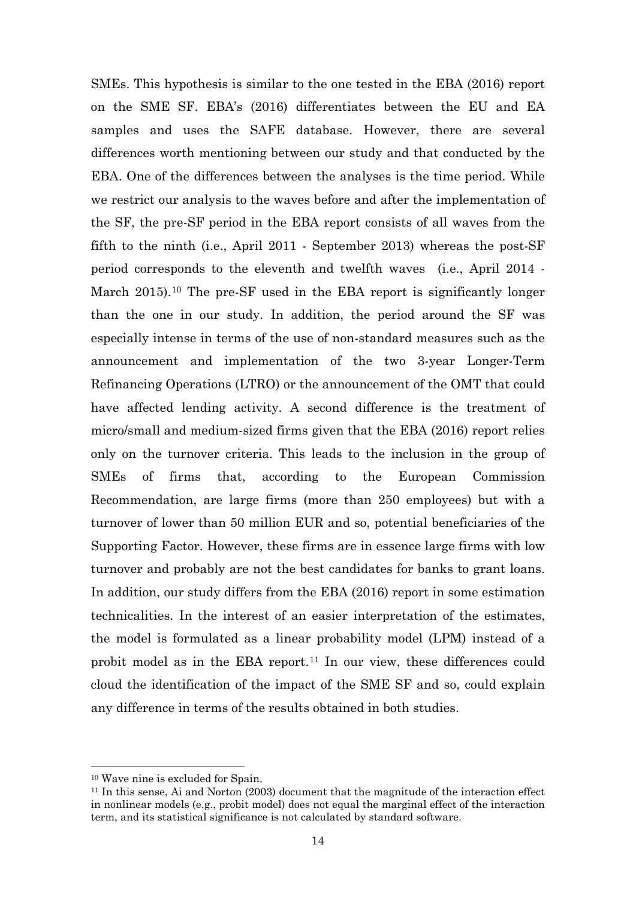SMEs. This hypothesis is similar to the one tested in the EBA (2016) report on the SME SF. EBA's (2016) differentiates between the EU and EA samples and uses the SAFE database. However, there are several differences worth mentioning between our study and that conducted by the EBA. One of the differences between the analyses is the time period. While we restrict our analysis to the waves before and after the implementation of the SF, the pre-SF period in the EBA report consists of all waves from the fifth to the ninth (i.e., April 2011 - September 2013) whereas the post-SF period corresponds to the eleventh and twelfth waves (i.e., April 2014 - March 2015).<sup>[10](#page-13-0)</sup> The pre-SF used in the EBA report is significantly longer than the one in our study. In addition, the period around the SF was especially intense in terms of the use of non-standard measures such as the announcement and implementation of the two 3-year Longer-Term Refinancing Operations (LTRO) or the announcement of the OMT that could have affected lending activity. A second difference is the treatment of micro/small and medium-sized firms given that the EBA (2016) report relies only on the turnover criteria. This leads to the inclusion in the group of SMEs of firms that, according to the European Commission Recommendation, are large firms (more than 250 employees) but with a turnover of lower than 50 million EUR and so, potential beneficiaries of the Supporting Factor. However, these firms are in essence large firms with low turnover and probably are not the best candidates for banks to grant loans. In addition, our study differs from the EBA (2016) report in some estimation technicalities. In the interest of an easier interpretation of the estimates, the model is formulated as a linear probability model (LPM) instead of a probit model as in the EBA report.[11](#page-13-1) In our view, these differences could cloud the identification of the impact of the SME SF and so, could explain any difference in terms of the results obtained in both studies.

<span id="page-13-0"></span> <sup>10</sup> Wave nine is excluded for Spain.

<span id="page-13-1"></span><sup>11</sup> In this sense, Ai and Norton (2003) document that the magnitude of the interaction effect in nonlinear models (e.g., probit model) does not equal the marginal effect of the interaction term, and its statistical significance is not calculated by standard software.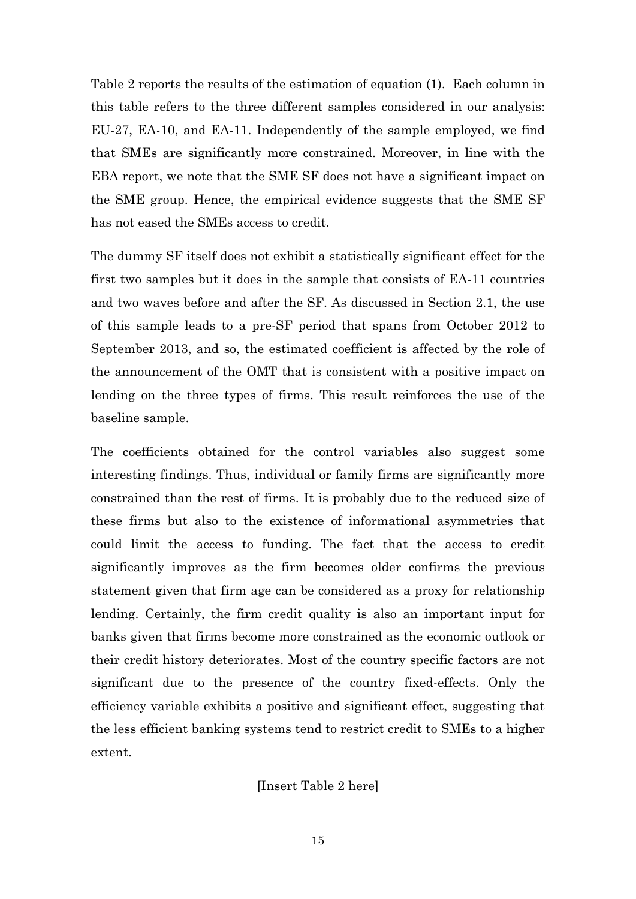Table 2 reports the results of the estimation of equation (1). Each column in this table refers to the three different samples considered in our analysis: EU-27, EA-10, and EA-11. Independently of the sample employed, we find that SMEs are significantly more constrained. Moreover, in line with the EBA report, we note that the SME SF does not have a significant impact on the SME group. Hence, the empirical evidence suggests that the SME SF has not eased the SMEs access to credit.

The dummy SF itself does not exhibit a statistically significant effect for the first two samples but it does in the sample that consists of EA-11 countries and two waves before and after the SF. As discussed in Section 2.1, the use of this sample leads to a pre-SF period that spans from October 2012 to September 2013, and so, the estimated coefficient is affected by the role of the announcement of the OMT that is consistent with a positive impact on lending on the three types of firms. This result reinforces the use of the baseline sample.

The coefficients obtained for the control variables also suggest some interesting findings. Thus, individual or family firms are significantly more constrained than the rest of firms. It is probably due to the reduced size of these firms but also to the existence of informational asymmetries that could limit the access to funding. The fact that the access to credit significantly improves as the firm becomes older confirms the previous statement given that firm age can be considered as a proxy for relationship lending. Certainly, the firm credit quality is also an important input for banks given that firms become more constrained as the economic outlook or their credit history deteriorates. Most of the country specific factors are not significant due to the presence of the country fixed-effects. Only the efficiency variable exhibits a positive and significant effect, suggesting that the less efficient banking systems tend to restrict credit to SMEs to a higher extent.

[Insert Table 2 here]

15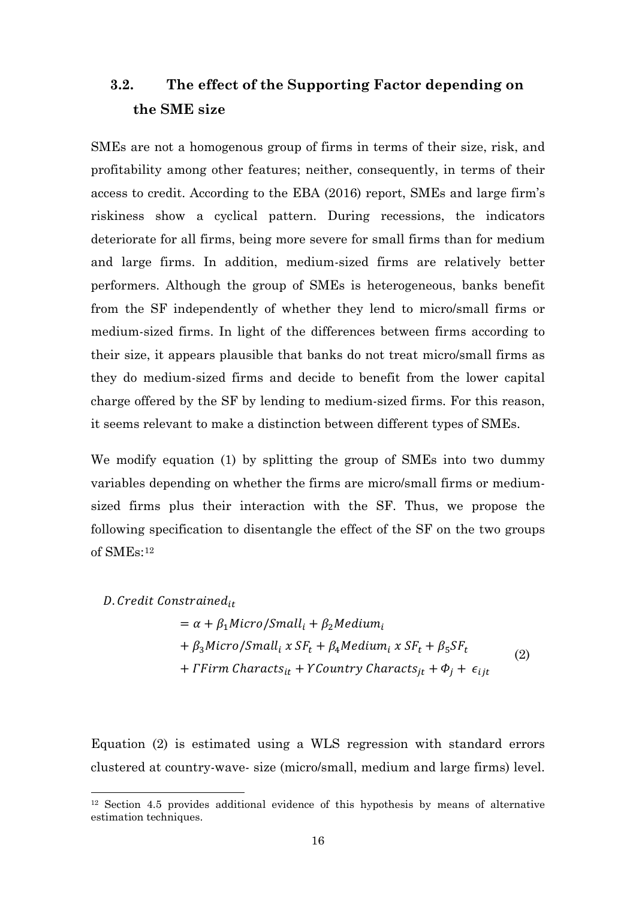## **3.2. The effect of the Supporting Factor depending on the SME size**

SMEs are not a homogenous group of firms in terms of their size, risk, and profitability among other features; neither, consequently, in terms of their access to credit. According to the EBA (2016) report, SMEs and large firm's riskiness show a cyclical pattern. During recessions, the indicators deteriorate for all firms, being more severe for small firms than for medium and large firms. In addition, medium-sized firms are relatively better performers. Although the group of SMEs is heterogeneous, banks benefit from the SF independently of whether they lend to micro/small firms or medium-sized firms. In light of the differences between firms according to their size, it appears plausible that banks do not treat micro/small firms as they do medium-sized firms and decide to benefit from the lower capital charge offered by the SF by lending to medium-sized firms. For this reason, it seems relevant to make a distinction between different types of SMEs.

We modify equation (1) by splitting the group of SMEs into two dummy variables depending on whether the firms are micro/small firms or mediumsized firms plus their interaction with the SF. Thus, we propose the following specification to disentangle the effect of the SF on the two groups of SMEs:[12](#page-15-0)

D. Credit Constrained<sub>it</sub>

$$
= \alpha + \beta_1 Micro/Small_i + \beta_2 Medium_i
$$
  
+  $\beta_3 Micro/Small_i \times SF_t + \beta_4 Medium_i \times SF_t + \beta_5 SF_t$   
+  $\Gamma$  Firm Charcts<sub>it</sub> +  $YCountry Charcts_{jt} + \Phi_j + \epsilon_{ijt}$  (2)

Equation (2) is estimated using a WLS regression with standard errors clustered at country-wave- size (micro/small, medium and large firms) level.

<span id="page-15-0"></span> <sup>12</sup> Section 4.5 provides additional evidence of this hypothesis by means of alternative estimation techniques.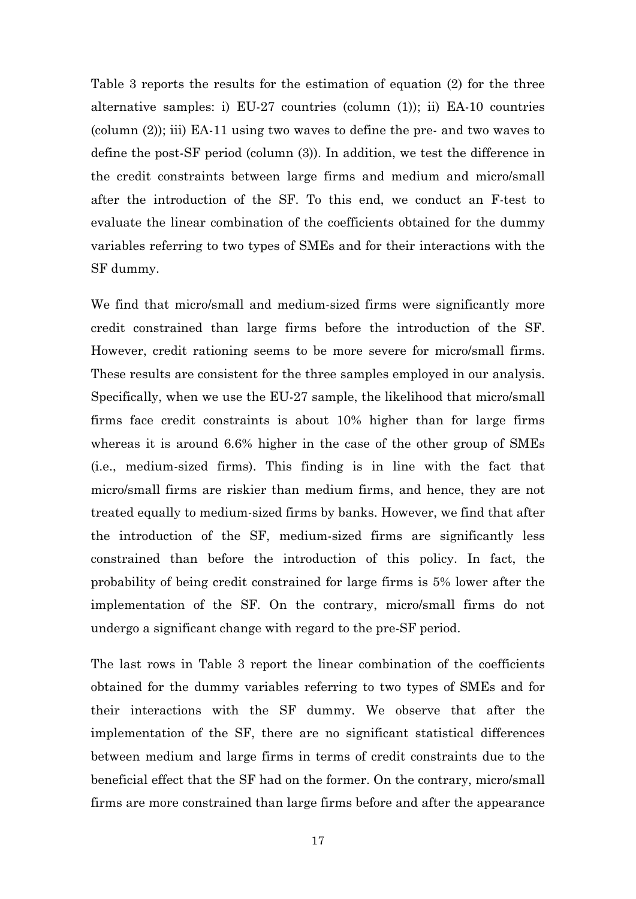Table 3 reports the results for the estimation of equation (2) for the three alternative samples: i) EU-27 countries (column (1)); ii) EA-10 countries (column (2)); iii) EA-11 using two waves to define the pre- and two waves to define the post-SF period (column (3)). In addition, we test the difference in the credit constraints between large firms and medium and micro/small after the introduction of the SF. To this end, we conduct an F-test to evaluate the linear combination of the coefficients obtained for the dummy variables referring to two types of SMEs and for their interactions with the SF dummy.

We find that micro/small and medium-sized firms were significantly more credit constrained than large firms before the introduction of the SF. However, credit rationing seems to be more severe for micro/small firms. These results are consistent for the three samples employed in our analysis. Specifically, when we use the EU-27 sample, the likelihood that micro/small firms face credit constraints is about 10% higher than for large firms whereas it is around 6.6% higher in the case of the other group of SMEs (i.e., medium-sized firms). This finding is in line with the fact that micro/small firms are riskier than medium firms, and hence, they are not treated equally to medium-sized firms by banks. However, we find that after the introduction of the SF, medium-sized firms are significantly less constrained than before the introduction of this policy. In fact, the probability of being credit constrained for large firms is 5% lower after the implementation of the SF. On the contrary, micro/small firms do not undergo a significant change with regard to the pre-SF period.

The last rows in Table 3 report the linear combination of the coefficients obtained for the dummy variables referring to two types of SMEs and for their interactions with the SF dummy. We observe that after the implementation of the SF, there are no significant statistical differences between medium and large firms in terms of credit constraints due to the beneficial effect that the SF had on the former. On the contrary, micro/small firms are more constrained than large firms before and after the appearance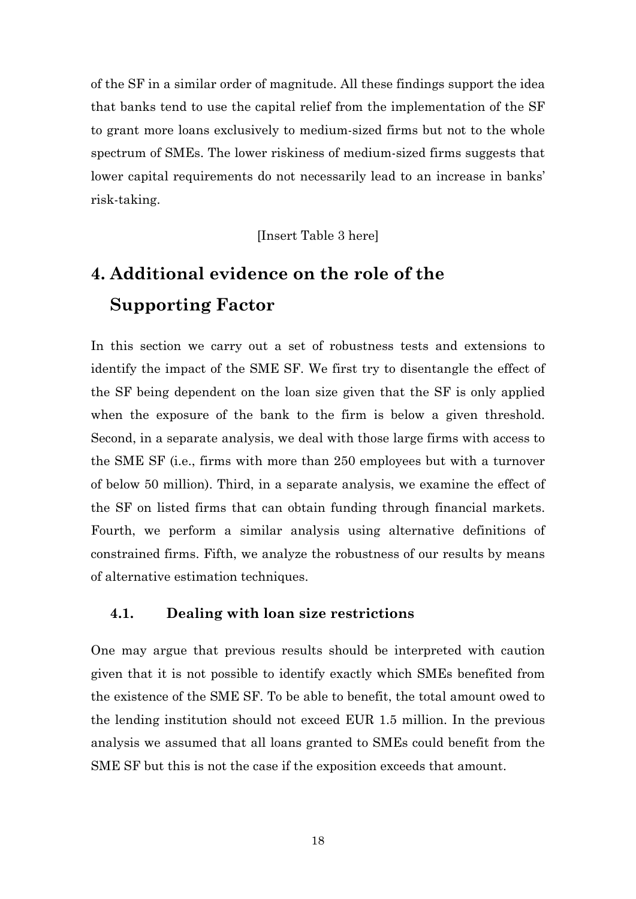of the SF in a similar order of magnitude. All these findings support the idea that banks tend to use the capital relief from the implementation of the SF to grant more loans exclusively to medium-sized firms but not to the whole spectrum of SMEs. The lower riskiness of medium-sized firms suggests that lower capital requirements do not necessarily lead to an increase in banks' risk-taking.

[Insert Table 3 here]

# **4. Additional evidence on the role of the Supporting Factor**

In this section we carry out a set of robustness tests and extensions to identify the impact of the SME SF. We first try to disentangle the effect of the SF being dependent on the loan size given that the SF is only applied when the exposure of the bank to the firm is below a given threshold. Second, in a separate analysis, we deal with those large firms with access to the SME SF (i.e., firms with more than 250 employees but with a turnover of below 50 million). Third, in a separate analysis, we examine the effect of the SF on listed firms that can obtain funding through financial markets. Fourth, we perform a similar analysis using alternative definitions of constrained firms. Fifth, we analyze the robustness of our results by means of alternative estimation techniques.

### **4.1. Dealing with loan size restrictions**

One may argue that previous results should be interpreted with caution given that it is not possible to identify exactly which SMEs benefited from the existence of the SME SF. To be able to benefit, the total amount owed to the lending institution should not exceed EUR 1.5 million. In the previous analysis we assumed that all loans granted to SMEs could benefit from the SME SF but this is not the case if the exposition exceeds that amount.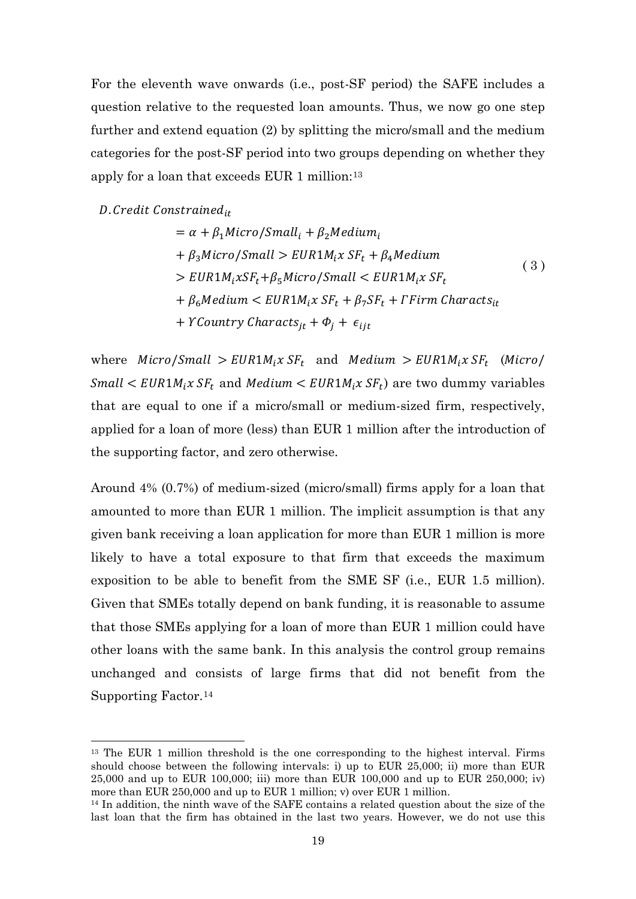For the eleventh wave onwards (i.e., post-SF period) the SAFE includes a question relative to the requested loan amounts. Thus, we now go one step further and extend equation (2) by splitting the micro/small and the medium categories for the post-SF period into two groups depending on whether they apply for a loan that exceeds EUR 1 million:[13](#page-18-0)

### D. Credit Constrained<sub>it</sub>

$$
= \alpha + \beta_1 Micro/Small_i + \beta_2 Medium_i
$$
  
+  $\beta_3 Micro/Small > EUR1M_iX SF_t + \beta_4 Medium$   
>  $EUR1M_iXSF_t + \beta_5 Micro/Small < EURIM_iX SF_t$   
+  $\beta_6 Medium < EURIM_iX SF_t + \beta_7 SF_t + FFirm Characteristics_t$   
+  $YCountry Characteristics_{jt} + \Phi_j + \epsilon_{ijt}$ 

where Micro/Small >  $EUR1M_i x SF_t$  and Medium >  $EUR1M_i x SF_t$  (Micro/  $Small < EUR1M_i x SF_t$  and Medium  $\lt EUR1M_i x SF_t$  are two dummy variables that are equal to one if a micro/small or medium-sized firm, respectively, applied for a loan of more (less) than EUR 1 million after the introduction of the supporting factor, and zero otherwise.

Around 4% (0.7%) of medium-sized (micro/small) firms apply for a loan that amounted to more than EUR 1 million. The implicit assumption is that any given bank receiving a loan application for more than EUR 1 million is more likely to have a total exposure to that firm that exceeds the maximum exposition to be able to benefit from the SME SF (i.e., EUR 1.5 million). Given that SMEs totally depend on bank funding, it is reasonable to assume that those SMEs applying for a loan of more than EUR 1 million could have other loans with the same bank. In this analysis the control group remains unchanged and consists of large firms that did not benefit from the Supporting Factor.[14](#page-18-1)

<span id="page-18-0"></span><sup>&</sup>lt;sup>13</sup> The EUR 1 million threshold is the one corresponding to the highest interval. Firms should choose between the following intervals: i) up to EUR 25,000; ii) more than EUR 25,000 and up to EUR 100,000; iii) more than EUR 100,000 and up to EUR 250,000; iv) more than EUR 250,000 and up to EUR 1 million; v) over EUR 1 million.

<span id="page-18-1"></span><sup>&</sup>lt;sup>14</sup> In addition, the ninth wave of the SAFE contains a related question about the size of the last loan that the firm has obtained in the last two years. However, we do not use this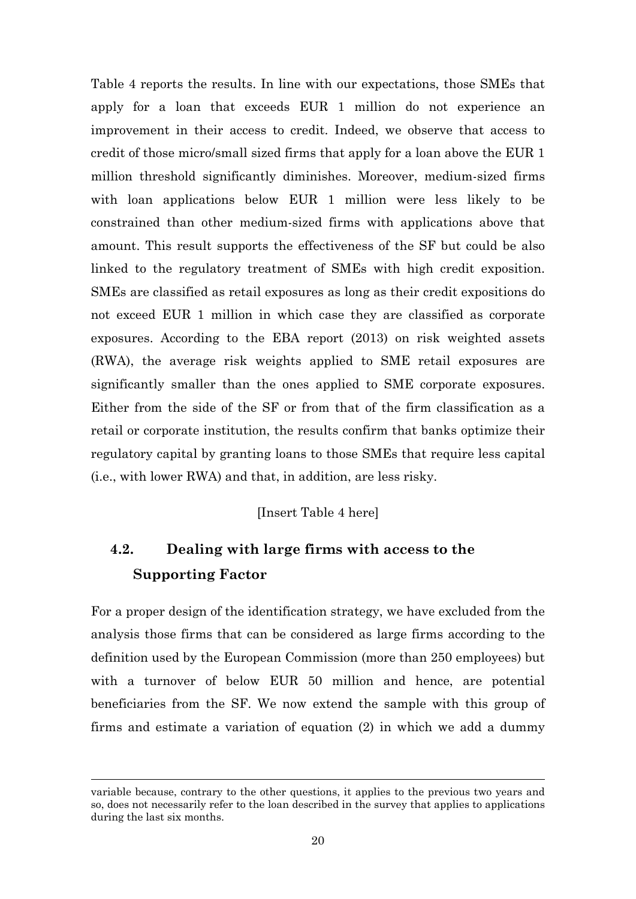Table 4 reports the results. In line with our expectations, those SMEs that apply for a loan that exceeds EUR 1 million do not experience an improvement in their access to credit. Indeed, we observe that access to credit of those micro/small sized firms that apply for a loan above the EUR 1 million threshold significantly diminishes. Moreover, medium-sized firms with loan applications below EUR 1 million were less likely to be constrained than other medium-sized firms with applications above that amount. This result supports the effectiveness of the SF but could be also linked to the regulatory treatment of SMEs with high credit exposition. SMEs are classified as retail exposures as long as their credit expositions do not exceed EUR 1 million in which case they are classified as corporate exposures. According to the EBA report (2013) on risk weighted assets (RWA), the average risk weights applied to SME retail exposures are significantly smaller than the ones applied to SME corporate exposures. Either from the side of the SF or from that of the firm classification as a retail or corporate institution, the results confirm that banks optimize their regulatory capital by granting loans to those SMEs that require less capital (i.e., with lower RWA) and that, in addition, are less risky.

### [Insert Table 4 here]

# **4.2. Dealing with large firms with access to the Supporting Factor**

For a proper design of the identification strategy, we have excluded from the analysis those firms that can be considered as large firms according to the definition used by the European Commission (more than 250 employees) but with a turnover of below EUR 50 million and hence, are potential beneficiaries from the SF. We now extend the sample with this group of firms and estimate a variation of equation (2) in which we add a dummy

-

variable because, contrary to the other questions, it applies to the previous two years and so, does not necessarily refer to the loan described in the survey that applies to applications during the last six months.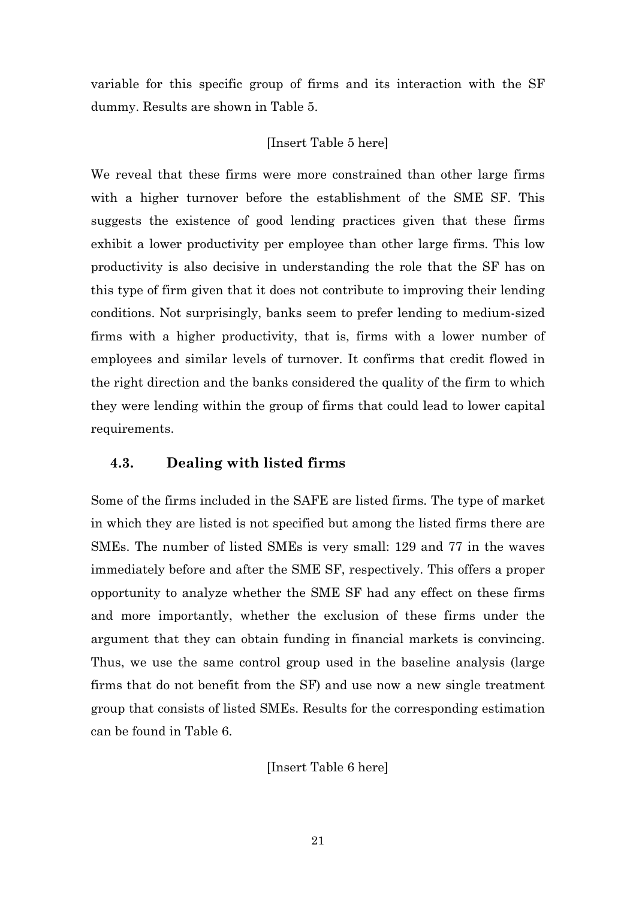variable for this specific group of firms and its interaction with the SF dummy. Results are shown in Table 5.

### [Insert Table 5 here]

We reveal that these firms were more constrained than other large firms with a higher turnover before the establishment of the SME SF. This suggests the existence of good lending practices given that these firms exhibit a lower productivity per employee than other large firms. This low productivity is also decisive in understanding the role that the SF has on this type of firm given that it does not contribute to improving their lending conditions. Not surprisingly, banks seem to prefer lending to medium-sized firms with a higher productivity, that is, firms with a lower number of employees and similar levels of turnover. It confirms that credit flowed in the right direction and the banks considered the quality of the firm to which they were lending within the group of firms that could lead to lower capital requirements.

### **4.3. Dealing with listed firms**

Some of the firms included in the SAFE are listed firms. The type of market in which they are listed is not specified but among the listed firms there are SMEs. The number of listed SMEs is very small: 129 and 77 in the waves immediately before and after the SME SF, respectively. This offers a proper opportunity to analyze whether the SME SF had any effect on these firms and more importantly, whether the exclusion of these firms under the argument that they can obtain funding in financial markets is convincing. Thus, we use the same control group used in the baseline analysis (large firms that do not benefit from the SF) and use now a new single treatment group that consists of listed SMEs. Results for the corresponding estimation can be found in Table 6.

[Insert Table 6 here]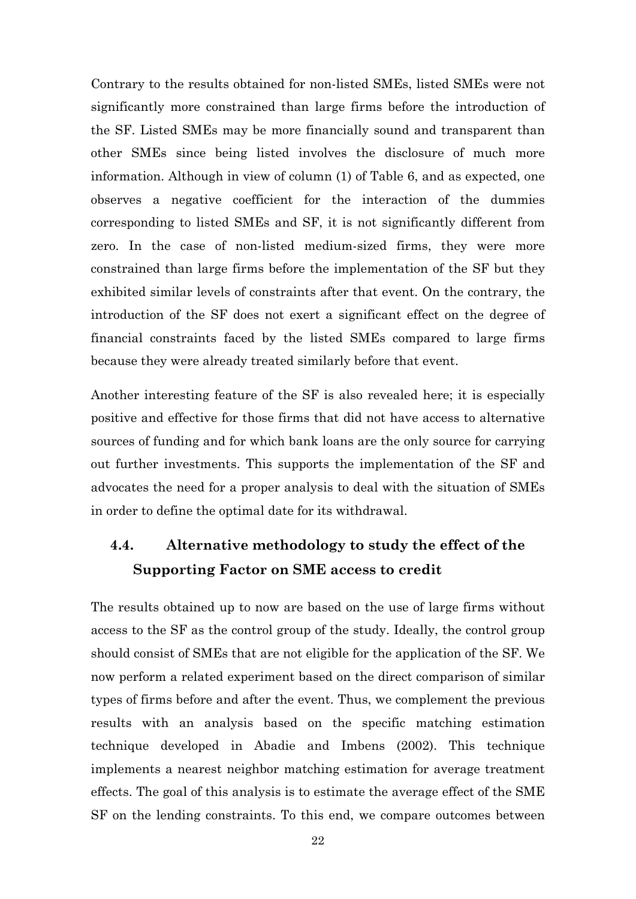Contrary to the results obtained for non-listed SMEs, listed SMEs were not significantly more constrained than large firms before the introduction of the SF. Listed SMEs may be more financially sound and transparent than other SMEs since being listed involves the disclosure of much more information. Although in view of column (1) of Table 6, and as expected, one observes a negative coefficient for the interaction of the dummies corresponding to listed SMEs and SF, it is not significantly different from zero. In the case of non-listed medium-sized firms, they were more constrained than large firms before the implementation of the SF but they exhibited similar levels of constraints after that event. On the contrary, the introduction of the SF does not exert a significant effect on the degree of financial constraints faced by the listed SMEs compared to large firms because they were already treated similarly before that event.

Another interesting feature of the SF is also revealed here; it is especially positive and effective for those firms that did not have access to alternative sources of funding and for which bank loans are the only source for carrying out further investments. This supports the implementation of the SF and advocates the need for a proper analysis to deal with the situation of SMEs in order to define the optimal date for its withdrawal.

## **4.4. Alternative methodology to study the effect of the Supporting Factor on SME access to credit**

The results obtained up to now are based on the use of large firms without access to the SF as the control group of the study. Ideally, the control group should consist of SMEs that are not eligible for the application of the SF. We now perform a related experiment based on the direct comparison of similar types of firms before and after the event. Thus, we complement the previous results with an analysis based on the specific matching estimation technique developed in Abadie and Imbens (2002). This technique implements a nearest neighbor matching estimation for average treatment effects. The goal of this analysis is to estimate the average effect of the SME SF on the lending constraints. To this end, we compare outcomes between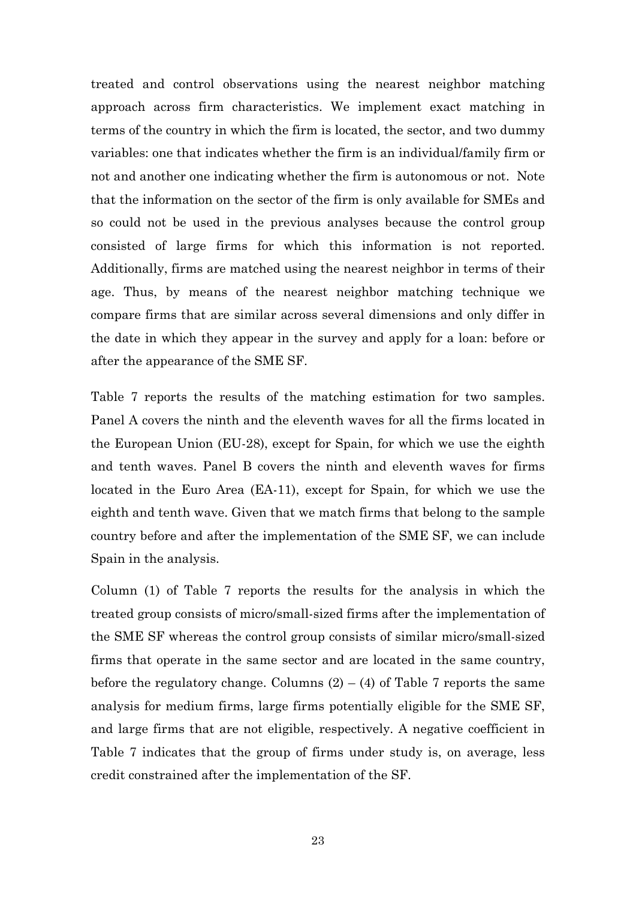treated and control observations using the nearest neighbor matching approach across firm characteristics. We implement exact matching in terms of the country in which the firm is located, the sector, and two dummy variables: one that indicates whether the firm is an individual/family firm or not and another one indicating whether the firm is autonomous or not. Note that the information on the sector of the firm is only available for SMEs and so could not be used in the previous analyses because the control group consisted of large firms for which this information is not reported. Additionally, firms are matched using the nearest neighbor in terms of their age. Thus, by means of the nearest neighbor matching technique we compare firms that are similar across several dimensions and only differ in the date in which they appear in the survey and apply for a loan: before or after the appearance of the SME SF.

Table 7 reports the results of the matching estimation for two samples. Panel A covers the ninth and the eleventh waves for all the firms located in the European Union (EU-28), except for Spain, for which we use the eighth and tenth waves. Panel B covers the ninth and eleventh waves for firms located in the Euro Area (EA-11), except for Spain, for which we use the eighth and tenth wave. Given that we match firms that belong to the sample country before and after the implementation of the SME SF, we can include Spain in the analysis.

Column (1) of Table 7 reports the results for the analysis in which the treated group consists of micro/small-sized firms after the implementation of the SME SF whereas the control group consists of similar micro/small-sized firms that operate in the same sector and are located in the same country, before the regulatory change. Columns  $(2) - (4)$  of Table 7 reports the same analysis for medium firms, large firms potentially eligible for the SME SF, and large firms that are not eligible, respectively. A negative coefficient in Table 7 indicates that the group of firms under study is, on average, less credit constrained after the implementation of the SF.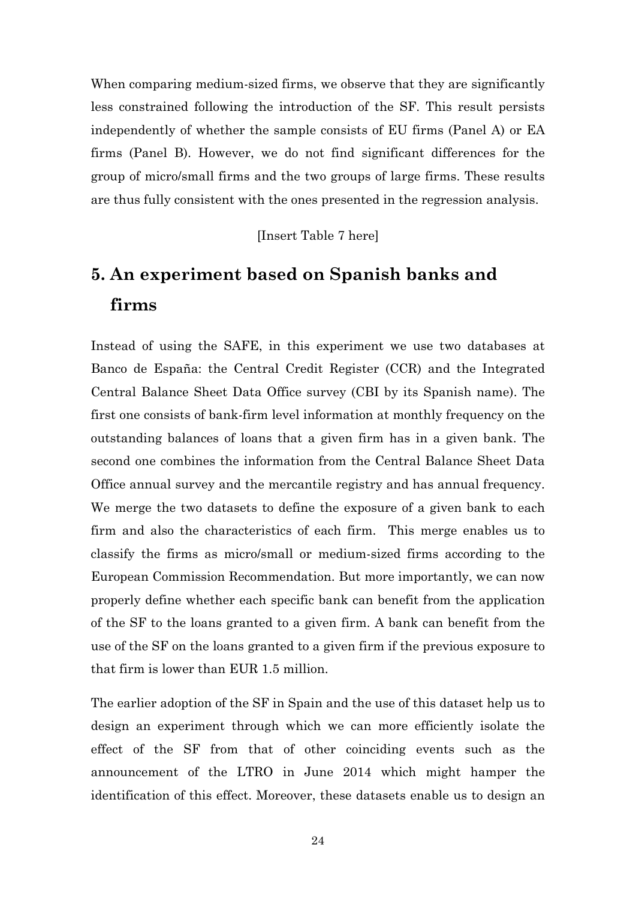When comparing medium-sized firms, we observe that they are significantly less constrained following the introduction of the SF. This result persists independently of whether the sample consists of EU firms (Panel A) or EA firms (Panel B). However, we do not find significant differences for the group of micro/small firms and the two groups of large firms. These results are thus fully consistent with the ones presented in the regression analysis.

[Insert Table 7 here]

# **5. An experiment based on Spanish banks and firms**

Instead of using the SAFE, in this experiment we use two databases at Banco de España: the Central Credit Register (CCR) and the Integrated Central Balance Sheet Data Office survey (CBI by its Spanish name). The first one consists of bank-firm level information at monthly frequency on the outstanding balances of loans that a given firm has in a given bank. The second one combines the information from the Central Balance Sheet Data Office annual survey and the mercantile registry and has annual frequency. We merge the two datasets to define the exposure of a given bank to each firm and also the characteristics of each firm. This merge enables us to classify the firms as micro/small or medium-sized firms according to the European Commission Recommendation. But more importantly, we can now properly define whether each specific bank can benefit from the application of the SF to the loans granted to a given firm. A bank can benefit from the use of the SF on the loans granted to a given firm if the previous exposure to that firm is lower than EUR 1.5 million.

The earlier adoption of the SF in Spain and the use of this dataset help us to design an experiment through which we can more efficiently isolate the effect of the SF from that of other coinciding events such as the announcement of the LTRO in June 2014 which might hamper the identification of this effect. Moreover, these datasets enable us to design an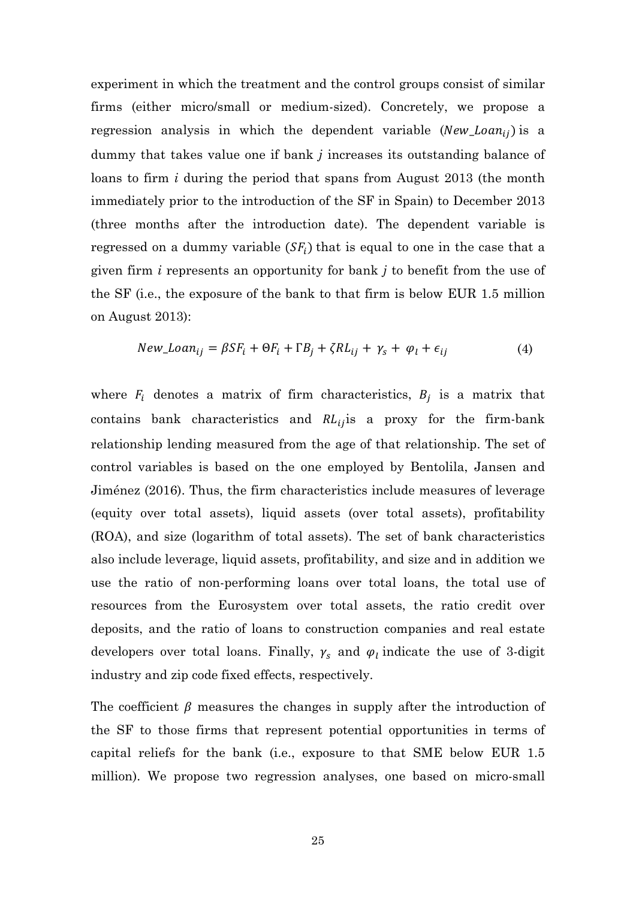experiment in which the treatment and the control groups consist of similar firms (either micro/small or medium-sized). Concretely, we propose a regression analysis in which the dependent variable ( $New\_Ioan_{ij}$ ) is a dummy that takes value one if bank *j* increases its outstanding balance of loans to firm *i* during the period that spans from August 2013 (the month immediately prior to the introduction of the SF in Spain) to December 2013 (three months after the introduction date). The dependent variable is regressed on a dummy variable  $(SF_i)$  that is equal to one in the case that a given firm *i* represents an opportunity for bank *j* to benefit from the use of the SF (i.e., the exposure of the bank to that firm is below EUR 1.5 million on August 2013):

$$
New\_Loan_{ij} = \beta SF_i + \Theta F_i + \Gamma B_j + \zeta R L_{ij} + \gamma_s + \varphi_l + \epsilon_{ij}
$$
(4)

where  $F_i$  denotes a matrix of firm characteristics,  $B_i$  is a matrix that contains bank characteristics and  $RL_{ij}$  is a proxy for the firm-bank relationship lending measured from the age of that relationship. The set of control variables is based on the one employed by Bentolila, Jansen and Jiménez (2016). Thus, the firm characteristics include measures of leverage (equity over total assets), liquid assets (over total assets), profitability (ROA), and size (logarithm of total assets). The set of bank characteristics also include leverage, liquid assets, profitability, and size and in addition we use the ratio of non-performing loans over total loans, the total use of resources from the Eurosystem over total assets, the ratio credit over deposits, and the ratio of loans to construction companies and real estate developers over total loans. Finally,  $\gamma_s$  and  $\varphi_l$  indicate the use of 3-digit industry and zip code fixed effects, respectively.

The coefficient  $\beta$  measures the changes in supply after the introduction of the SF to those firms that represent potential opportunities in terms of capital reliefs for the bank (i.e., exposure to that SME below EUR 1.5 million). We propose two regression analyses, one based on micro-small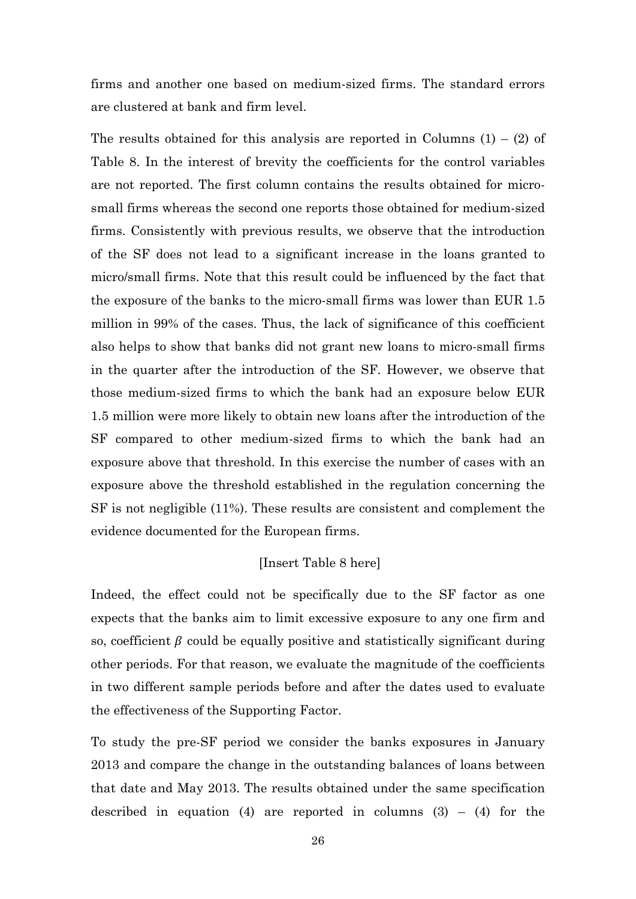firms and another one based on medium-sized firms. The standard errors are clustered at bank and firm level.

The results obtained for this analysis are reported in Columns  $(1) - (2)$  of Table 8. In the interest of brevity the coefficients for the control variables are not reported. The first column contains the results obtained for microsmall firms whereas the second one reports those obtained for medium-sized firms. Consistently with previous results, we observe that the introduction of the SF does not lead to a significant increase in the loans granted to micro/small firms. Note that this result could be influenced by the fact that the exposure of the banks to the micro-small firms was lower than EUR 1.5 million in 99% of the cases. Thus, the lack of significance of this coefficient also helps to show that banks did not grant new loans to micro-small firms in the quarter after the introduction of the SF. However, we observe that those medium-sized firms to which the bank had an exposure below EUR 1.5 million were more likely to obtain new loans after the introduction of the SF compared to other medium-sized firms to which the bank had an exposure above that threshold. In this exercise the number of cases with an exposure above the threshold established in the regulation concerning the SF is not negligible (11%). These results are consistent and complement the evidence documented for the European firms.

#### [Insert Table 8 here]

Indeed, the effect could not be specifically due to the SF factor as one expects that the banks aim to limit excessive exposure to any one firm and so, coefficient  $\beta$  could be equally positive and statistically significant during other periods. For that reason, we evaluate the magnitude of the coefficients in two different sample periods before and after the dates used to evaluate the effectiveness of the Supporting Factor.

To study the pre-SF period we consider the banks exposures in January 2013 and compare the change in the outstanding balances of loans between that date and May 2013. The results obtained under the same specification described in equation (4) are reported in columns  $(3) - (4)$  for the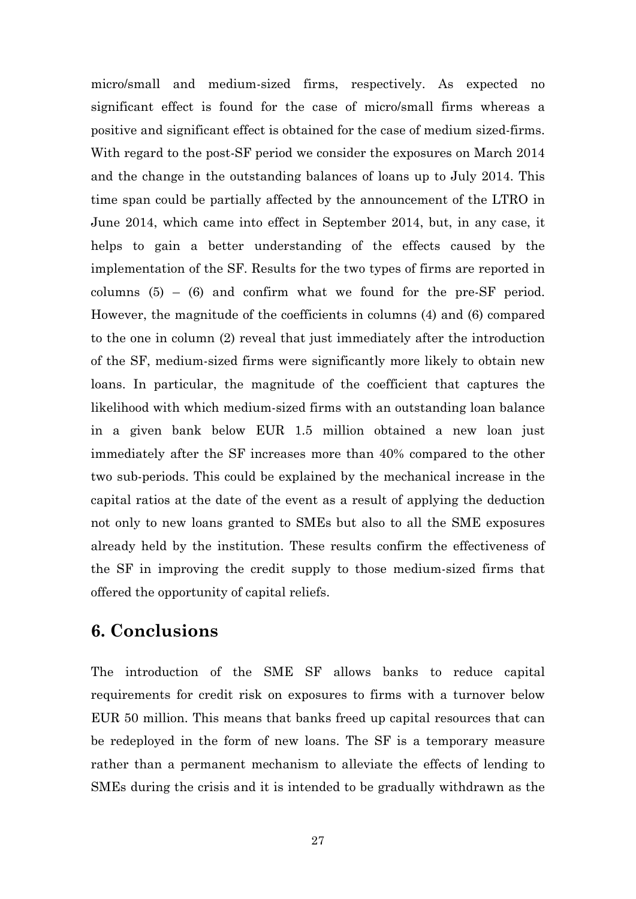micro/small and medium-sized firms, respectively. As expected no significant effect is found for the case of micro/small firms whereas a positive and significant effect is obtained for the case of medium sized-firms. With regard to the post-SF period we consider the exposures on March 2014 and the change in the outstanding balances of loans up to July 2014. This time span could be partially affected by the announcement of the LTRO in June 2014, which came into effect in September 2014, but, in any case, it helps to gain a better understanding of the effects caused by the implementation of the SF. Results for the two types of firms are reported in columns  $(5) - (6)$  and confirm what we found for the pre-SF period. However, the magnitude of the coefficients in columns (4) and (6) compared to the one in column (2) reveal that just immediately after the introduction of the SF, medium-sized firms were significantly more likely to obtain new loans. In particular, the magnitude of the coefficient that captures the likelihood with which medium-sized firms with an outstanding loan balance in a given bank below EUR 1.5 million obtained a new loan just immediately after the SF increases more than 40% compared to the other two sub-periods. This could be explained by the mechanical increase in the capital ratios at the date of the event as a result of applying the deduction not only to new loans granted to SMEs but also to all the SME exposures already held by the institution. These results confirm the effectiveness of the SF in improving the credit supply to those medium-sized firms that offered the opportunity of capital reliefs.

### **6. Conclusions**

The introduction of the SME SF allows banks to reduce capital requirements for credit risk on exposures to firms with a turnover below EUR 50 million. This means that banks freed up capital resources that can be redeployed in the form of new loans. The SF is a temporary measure rather than a permanent mechanism to alleviate the effects of lending to SMEs during the crisis and it is intended to be gradually withdrawn as the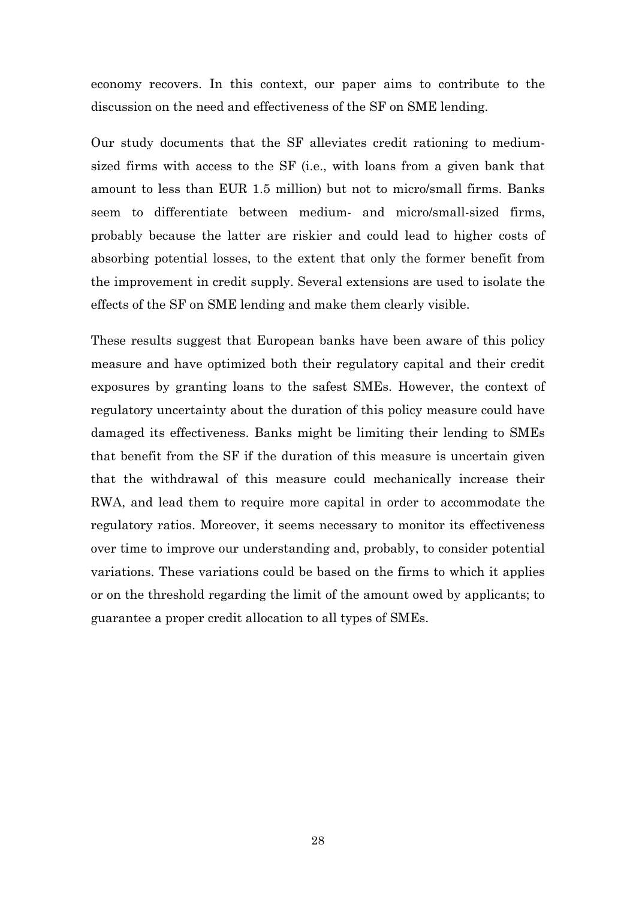economy recovers. In this context, our paper aims to contribute to the discussion on the need and effectiveness of the SF on SME lending.

Our study documents that the SF alleviates credit rationing to mediumsized firms with access to the SF (i.e., with loans from a given bank that amount to less than EUR 1.5 million) but not to micro/small firms. Banks seem to differentiate between medium- and micro/small-sized firms, probably because the latter are riskier and could lead to higher costs of absorbing potential losses, to the extent that only the former benefit from the improvement in credit supply. Several extensions are used to isolate the effects of the SF on SME lending and make them clearly visible.

These results suggest that European banks have been aware of this policy measure and have optimized both their regulatory capital and their credit exposures by granting loans to the safest SMEs. However, the context of regulatory uncertainty about the duration of this policy measure could have damaged its effectiveness. Banks might be limiting their lending to SMEs that benefit from the SF if the duration of this measure is uncertain given that the withdrawal of this measure could mechanically increase their RWA, and lead them to require more capital in order to accommodate the regulatory ratios. Moreover, it seems necessary to monitor its effectiveness over time to improve our understanding and, probably, to consider potential variations. These variations could be based on the firms to which it applies or on the threshold regarding the limit of the amount owed by applicants; to guarantee a proper credit allocation to all types of SMEs.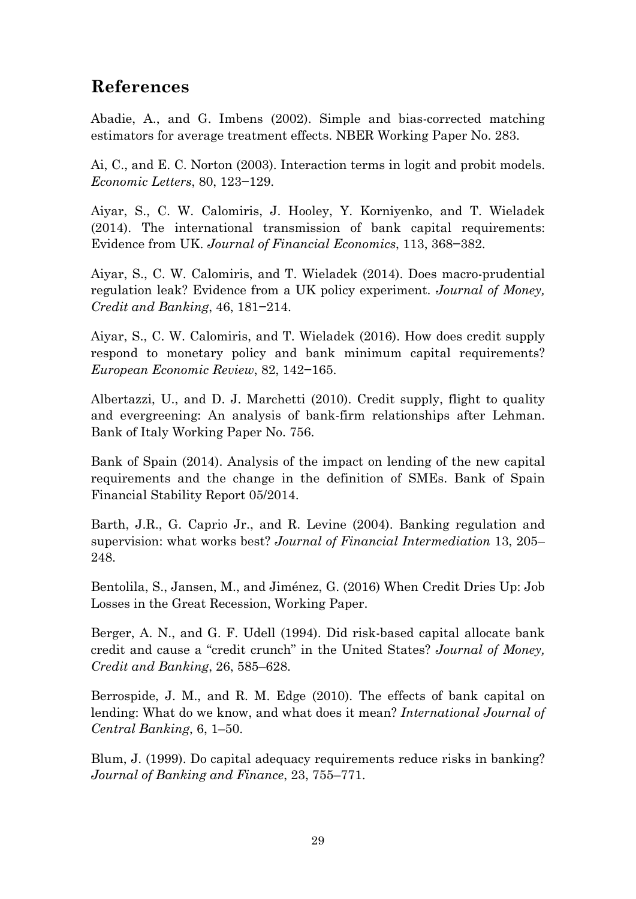# **References**

Abadie, A., and G. Imbens (2002). Simple and bias-corrected matching estimators for average treatment effects. NBER Working Paper No. 283.

Ai, C., and E. C. Norton (2003). Interaction terms in logit and probit models. *Economic Letters*, 80, 123−129.

Aiyar, S., C. W. Calomiris, J. Hooley, Y. Korniyenko, and T. Wieladek (2014). The international transmission of bank capital requirements: Evidence from UK. *Journal of Financial Economics*, 113, 368−382.

Aiyar, S., C. W. Calomiris, and T. Wieladek (2014). Does macro-prudential regulation leak? Evidence from a UK policy experiment. *Journal of Money, Credit and Banking*, 46, 181−214.

Aiyar, S., C. W. Calomiris, and T. Wieladek (2016). How does credit supply respond to monetary policy and bank minimum capital requirements? *European Economic Review*, 82, 142−165.

Albertazzi, U., and D. J. Marchetti (2010). Credit supply, flight to quality and evergreening: An analysis of bank-firm relationships after Lehman. Bank of Italy Working Paper No. 756.

Bank of Spain (2014). Analysis of the impact on lending of the new capital requirements and the change in the definition of SMEs. Bank of Spain Financial Stability Report 05/2014.

Barth, J.R., G. Caprio Jr., and R. Levine (2004). Banking regulation and supervision: what works best? *Journal of Financial Intermediation* 13, 205– 248.

Bentolila, S., Jansen, M., and Jiménez, G. (2016) When Credit Dries Up: Job Losses in the Great Recession, Working Paper.

Berger, A. N., and G. F. Udell (1994). Did risk-based capital allocate bank credit and cause a "credit crunch" in the United States? *Journal of Money, Credit and Banking*, 26, 585–628.

Berrospide, J. M., and R. M. Edge (2010). The effects of bank capital on lending: What do we know, and what does it mean? *International Journal of Central Banking*, 6, 1–50.

Blum, J. (1999). Do capital adequacy requirements reduce risks in banking? *Journal of Banking and Finance*, 23, 755–771.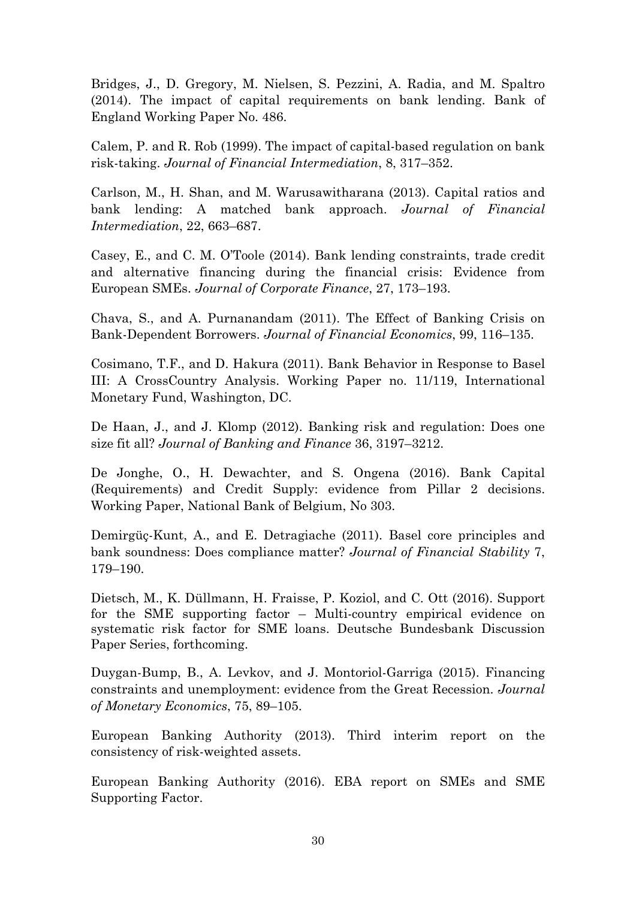Bridges, J., D. Gregory, M. Nielsen, S. Pezzini, A. Radia, and M. Spaltro (2014). The impact of capital requirements on bank lending. Bank of England Working Paper No. 486.

Calem, P. and R. Rob (1999). The impact of capital-based regulation on bank risk-taking. *Journal of Financial Intermediation*, 8, 317–352.

Carlson, M., H. Shan, and M. Warusawitharana (2013). Capital ratios and bank lending: A matched bank approach. *Journal of Financial Intermediation*, 22, 663–687.

Casey, E., and C. M. O'Toole (2014). Bank lending constraints, trade credit and alternative financing during the financial crisis: Evidence from European SMEs. *Journal of Corporate Finance*, 27, 173–193.

Chava, S., and A. Purnanandam (2011). The Effect of Banking Crisis on Bank-Dependent Borrowers. *Journal of Financial Economics*, 99, 116–135.

Cosimano, T.F., and D. Hakura (2011). Bank Behavior in Response to Basel III: A CrossCountry Analysis. Working Paper no. 11/119, International Monetary Fund, Washington, DC.

De Haan, J., and J. Klomp (2012). Banking risk and regulation: Does one size fit all? *Journal of Banking and Finance* 36, 3197–3212.

De Jonghe, O., H. Dewachter, and S. Ongena (2016). Bank Capital (Requirements) and Credit Supply: evidence from Pillar 2 decisions. Working Paper, National Bank of Belgium, No 303.

Demirgüç-Kunt, A., and E. Detragiache (2011). Basel core principles and bank soundness: Does compliance matter? *Journal of Financial Stability* 7, 179–190.

Dietsch, M., K. Düllmann, H. Fraisse, P. Koziol, and C. Ott (2016). Support for the SME supporting factor – Multi-country empirical evidence on systematic risk factor for SME loans. Deutsche Bundesbank Discussion Paper Series, forthcoming.

Duygan-Bump, B., A. Levkov, and J. Montoriol-Garriga (2015). Financing constraints and unemployment: evidence from the Great Recession. *Journal of Monetary Economics*, 75, 89–105.

European Banking Authority (2013). Third interim report on the consistency of risk-weighted assets.

European Banking Authority (2016). EBA report on SMEs and SME Supporting Factor.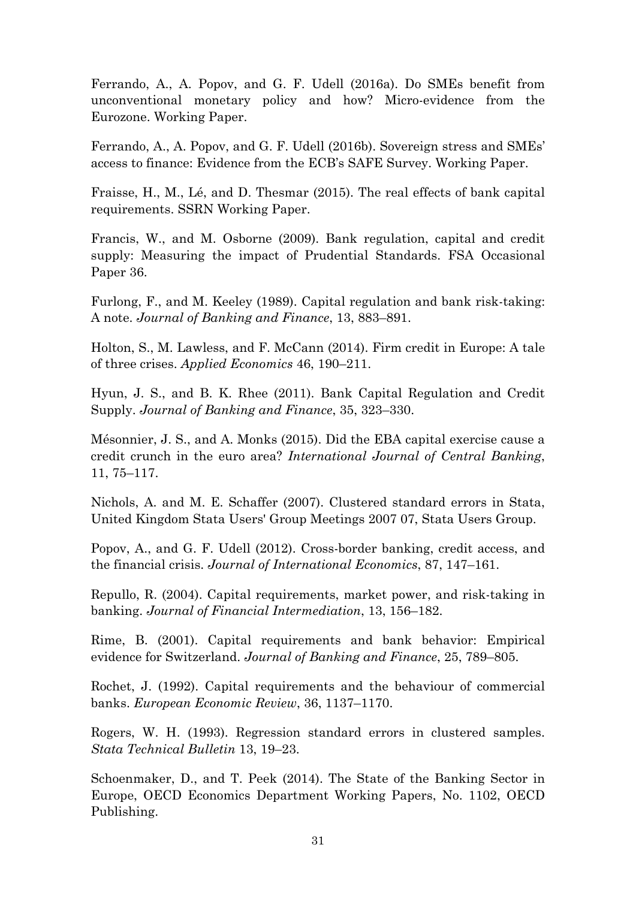Ferrando, A., A. Popov, and G. F. Udell (2016a). Do SMEs benefit from unconventional monetary policy and how? Micro-evidence from the Eurozone. Working Paper.

Ferrando, A., A. Popov, and G. F. Udell (2016b). Sovereign stress and SMEs' access to finance: Evidence from the ECB's SAFE Survey. Working Paper.

Fraisse, H., M., Lé, and D. Thesmar (2015). The real effects of bank capital requirements. SSRN Working Paper.

Francis, W., and M. Osborne (2009). Bank regulation, capital and credit supply: Measuring the impact of Prudential Standards. FSA Occasional Paper 36.

Furlong, F., and M. Keeley (1989). Capital regulation and bank risk-taking: A note. *Journal of Banking and Finance*, 13, 883–891.

Holton, S., M. Lawless, and F. McCann (2014). Firm credit in Europe: A tale of three crises. *Applied Economics* 46, 190–211.

Hyun, J. S., and B. K. Rhee (2011). Bank Capital Regulation and Credit Supply. *Journal of Banking and Finance*, 35, 323–330.

Mésonnier, J. S., and A. Monks (2015). Did the EBA capital exercise cause a credit crunch in the euro area? *International Journal of Central Banking*, 11, 75–117.

Nichols, A. and M. E. Schaffer (2007). Clustered standard errors in Stata, United Kingdom Stata Users' Group Meetings 2007 07, Stata Users Group.

Popov, A., and G. F. Udell (2012). Cross-border banking, credit access, and the financial crisis. *Journal of International Economics*, 87, 147–161.

Repullo, R. (2004). Capital requirements, market power, and risk-taking in banking. *Journal of Financial Intermediation*, 13, 156–182.

Rime, B. (2001). Capital requirements and bank behavior: Empirical evidence for Switzerland. *Journal of Banking and Finance*, 25, 789–805.

Rochet, J. (1992). Capital requirements and the behaviour of commercial banks. *European Economic Review*, 36, 1137–1170.

Rogers, W. H. (1993). Regression standard errors in clustered samples. *Stata Technical Bulletin* 13, 19–23.

Schoenmaker, D., and T. Peek (2014). The State of the Banking Sector in Europe, OECD Economics Department Working Papers, No. 1102, OECD Publishing.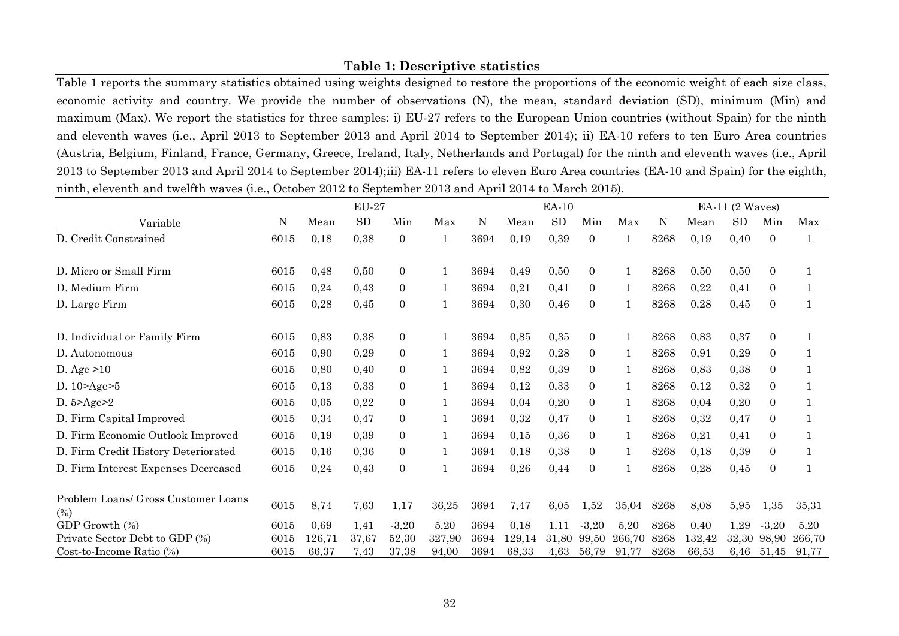### **Table 1: Descriptive statistics**

Table 1 reports the summary statistics obtained using weights designed to restore the proportions of the economic weight of each size class, economic activity and country. We provide the number of observations (N), the mean, standard deviation (SD), minimum (Min) and maximum (Max). We report the statistics for three samples: i) EU-27 refers to the European Union countries (without Spain) for the ninth and eleventh waves (i.e., April 2013 to September 2013 and April 2014 to September 2014); ii) EA-10 refers to ten Euro Area countries (Austria, Belgium, Finland, France, Germany, Greece, Ireland, Italy, Netherlands and Portugal) for the ninth and eleventh waves (i.e., April 2013 to September 2013 and April 2014 to September 2014);iii) EA-11 refers to eleven Euro Area countries (EA-10 and Spain) for the eighth, ninth, eleventh and twelfth waves (i.e., October 2012 to September 2013 and April 2014 to March 2015).

|                                            |      |        | $EU-27$ |                |        |      |        | EA-10     |                |              |      |        | $EA-11$ (2 Waves) |                  |        |
|--------------------------------------------|------|--------|---------|----------------|--------|------|--------|-----------|----------------|--------------|------|--------|-------------------|------------------|--------|
| Variable                                   | N    | Mean   | SD      | Min            | Max    | N    | Mean   | <b>SD</b> | Min            | Max          | N    | Mean   | <b>SD</b>         | Min              | Max    |
| D. Credit Constrained                      | 6015 | 0,18   | 0,38    | $\overline{0}$ | 1      | 3694 | 0,19   | 0,39      | $\overline{0}$ | $\mathbf{1}$ | 8268 | 0,19   | 0,40              | $\overline{0}$   |        |
| D. Micro or Small Firm                     | 6015 | 0,48   | 0,50    | $\overline{0}$ |        | 3694 | 0,49   | 0,50      | $\Omega$       | 1            | 8268 | 0,50   | 0,50              | $\Omega$         |        |
| D. Medium Firm                             | 6015 | 0,24   | 0,43    | $\overline{0}$ | 1      | 3694 | 0,21   | 0,41      | $\overline{0}$ | 1            | 8268 | 0,22   | 0,41              | $\overline{0}$   |        |
| D. Large Firm                              | 6015 | 0,28   | 0,45    | $\overline{0}$ |        | 3694 | 0,30   | 0,46      | $\overline{0}$ |              | 8268 | 0,28   | 0,45              | $\boldsymbol{0}$ |        |
| D. Individual or Family Firm               | 6015 | 0,83   | 0,38    | $\overline{0}$ |        | 3694 | 0,85   | 0,35      | $\overline{0}$ |              | 8268 | 0,83   | 0,37              | $\overline{0}$   |        |
| D. Autonomous                              | 6015 | 0,90   | 0,29    | $\overline{0}$ | 1      | 3694 | 0,92   | 0,28      | $\overline{0}$ | 1            | 8268 | 0,91   | 0,29              | $\overline{0}$   |        |
| D. Age $>10$                               | 6015 | 0,80   | 0,40    | $\Omega$       |        | 3694 | 0,82   | 0,39      | 0              |              | 8268 | 0,83   | 0,38              | $\overline{0}$   |        |
| D. $10 > Age > 5$                          | 6015 | 0,13   | 0,33    | $\overline{0}$ |        | 3694 | 0,12   | 0,33      | $\overline{0}$ | 1            | 8268 | 0,12   | 0,32              | $\overline{0}$   |        |
| D. $5 > Age > 2$                           | 6015 | 0,05   | 0,22    | $\Omega$       |        | 3694 | 0,04   | 0,20      | $\overline{0}$ |              | 8268 | 0,04   | 0,20              | $\overline{0}$   |        |
| D. Firm Capital Improved                   | 6015 | 0,34   | 0,47    | $\overline{0}$ |        | 3694 | 0,32   | 0,47      | $\overline{0}$ |              | 8268 | 0,32   | 0,47              | $\overline{0}$   |        |
| D. Firm Economic Outlook Improved          | 6015 | 0,19   | 0,39    | $\overline{0}$ | 1      | 3694 | 0,15   | 0,36      | $\overline{0}$ |              | 8268 | 0,21   | 0,41              | $\overline{0}$   |        |
| D. Firm Credit History Deteriorated        | 6015 | 0,16   | 0,36    | $\Omega$       |        | 3694 | 0,18   | 0,38      | $\overline{0}$ |              | 8268 | 0,18   | 0,39              | $\overline{0}$   |        |
| D. Firm Interest Expenses Decreased        | 6015 | 0,24   | 0,43    | $\overline{0}$ |        | 3694 | 0,26   | 0,44      | $\overline{0}$ |              | 8268 | 0,28   | 0,45              | $\boldsymbol{0}$ |        |
| Problem Loans/ Gross Customer Loans<br>(%) | 6015 | 8,74   | 7,63    | 1,17           | 36,25  | 3694 | 7,47   | 6,05      | 1,52           | 35,04        | 8268 | 8,08   | 5,95              | 1,35             | 35,31  |
| GDP Growth (%)                             | 6015 | 0,69   | 1,41    | $-3,20$        | 5,20   | 3694 | 0,18   | 1,11      | $-3,20$        | 5,20         | 8268 | 0,40   | 1,29              | $-3,20$          | 5,20   |
| Private Sector Debt to GDP (%)             | 6015 | 126,71 | 37,67   | 52,30          | 327,90 | 3694 | 129,14 | 31,80     | 99,50          | 266,70       | 8268 | 132,42 | 32,30             | 98,90            | 266,70 |
| Cost-to-Income Ratio (%)                   | 6015 | 66,37  | 7,43    | 37,38          | 94,00  | 3694 | 68,33  | 4,63      | 56,79          | 91,77        | 8268 | 66,53  | 6,46              | 51,45            | 91,77  |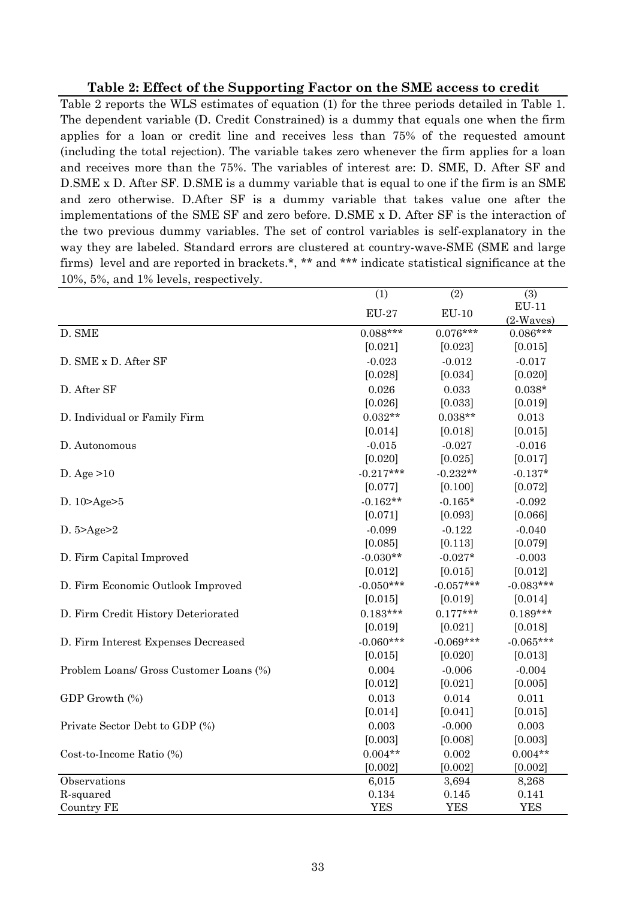### **Table 2: Effect of the Supporting Factor on the SME access to credit**

Table 2 reports the WLS estimates of equation (1) for the three periods detailed in Table 1. The dependent variable (D. Credit Constrained) is a dummy that equals one when the firm applies for a loan or credit line and receives less than 75% of the requested amount (including the total rejection). The variable takes zero whenever the firm applies for a loan and receives more than the 75%. The variables of interest are: D. SME, D. After SF and D.SME x D. After SF. D.SME is a dummy variable that is equal to one if the firm is an SME and zero otherwise. D.After SF is a dummy variable that takes value one after the implementations of the SME SF and zero before. D.SME x D. After SF is the interaction of the two previous dummy variables. The set of control variables is self-explanatory in the way they are labeled. Standard errors are clustered at country-wave-SME (SME and large firms) level and are reported in brackets.\*, \*\* and \*\*\* indicate statistical significance at the 10%, 5%, and 1% levels, respectively.

|                                         | (1)          | (2)         | (3)                    |
|-----------------------------------------|--------------|-------------|------------------------|
|                                         | <b>EU-27</b> | $EU-10$     | $EU-11$<br>$(2-Waves)$ |
| D. SME                                  | $0.088***$   | $0.076***$  | $0.086***$             |
|                                         | [0.021]      | [0.023]     | [0.015]                |
| D. SME x D. After SF                    | $-0.023$     | $-0.012$    | $-0.017$               |
|                                         | [0.028]      | [0.034]     | [0.020]                |
| D. After SF                             | 0.026        | 0.033       | $0.038*$               |
|                                         | [0.026]      | [0.033]     | [0.019]                |
| D. Individual or Family Firm            | $0.032**$    | $0.038**$   | 0.013                  |
|                                         | [0.014]      | [0.018]     | [0.015]                |
| D. Autonomous                           | $-0.015$     | $-0.027$    | $-0.016$               |
|                                         | [0.020]      | [0.025]     | [0.017]                |
| D. Age $>10$                            | $-0.217***$  | $-0.232**$  | $-0.137*$              |
|                                         | [0.077]      | [0.100]     | [0.072]                |
| D. 10>Age>5                             | $-0.162**$   | $-0.165*$   | $-0.092$               |
|                                         | [0.071]      | [0.093]     | [0.066]                |
| D. $5 > Age > 2$                        | $-0.099$     | $-0.122$    | $-0.040$               |
|                                         | [0.085]      | [0.113]     | [0.079]                |
| D. Firm Capital Improved                | $-0.030**$   | $-0.027*$   | $-0.003$               |
|                                         | [0.012]      | [0.015]     | [0.012]                |
| D. Firm Economic Outlook Improved       | $-0.050***$  | $-0.057***$ | $-0.083***$            |
|                                         | [0.015]      | [0.019]     | [0.014]                |
| D. Firm Credit History Deteriorated     | $0.183***$   | $0.177***$  | $0.189***$             |
|                                         | [0.019]      | [0.021]     | [0.018]                |
| D. Firm Interest Expenses Decreased     | $-0.060***$  | $-0.069***$ | $-0.065***$            |
|                                         | [0.015]      | [0.020]     | [0.013]                |
| Problem Loans/ Gross Customer Loans (%) | 0.004        | $-0.006$    | $-0.004$               |
|                                         | [0.012]      | [0.021]     | [0.005]                |
| GDP Growth (%)                          | 0.013        | 0.014       | 0.011                  |
|                                         | [0.014]      | [0.041]     | [0.015]                |
| Private Sector Debt to GDP (%)          | 0.003        | $-0.000$    | 0.003                  |
|                                         | [0.003]      | [0.008]     | [0.003]                |
| Cost-to-Income Ratio (%)                | $0.004**$    | 0.002       | $0.004**$              |
|                                         | [0.002]      | [0.002]     | [0.002]                |
| Observations                            | 6,015        | 3,694       | 8,268                  |
| R-squared                               | 0.134        | 0.145       | 0.141                  |
| <b>Country FE</b>                       | <b>YES</b>   | <b>YES</b>  | <b>YES</b>             |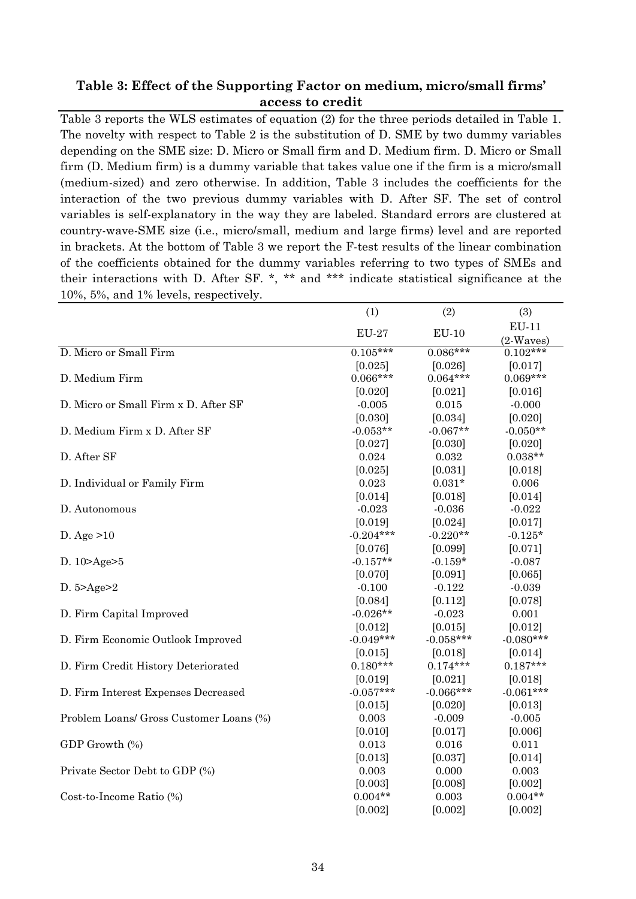### **Table 3: Effect of the Supporting Factor on medium, micro/small firms' access to credit**

Table 3 reports the WLS estimates of equation (2) for the three periods detailed in Table 1. The novelty with respect to Table 2 is the substitution of D. SME by two dummy variables depending on the SME size: D. Micro or Small firm and D. Medium firm. D. Micro or Small firm (D. Medium firm) is a dummy variable that takes value one if the firm is a micro/small (medium-sized) and zero otherwise. In addition, Table 3 includes the coefficients for the interaction of the two previous dummy variables with D. After SF. The set of control variables is self-explanatory in the way they are labeled. Standard errors are clustered at country-wave-SME size (i.e., micro/small, medium and large firms) level and are reported in brackets. At the bottom of Table 3 we report the F-test results of the linear combination of the coefficients obtained for the dummy variables referring to two types of SMEs and their interactions with D. After SF. \*, \*\* and \*\*\* indicate statistical significance at the 10%, 5%, and 1% levels, respectively.

|                                         | (1)          | (2)         | (3)          |
|-----------------------------------------|--------------|-------------|--------------|
|                                         | <b>EU-27</b> | $EU-10$     | <b>EU-11</b> |
|                                         |              |             | $(2-Waves)$  |
| D. Micro or Small Firm                  | $0.105***$   | $0.086***$  | $0.102***$   |
|                                         | [0.025]      | [0.026]     | [0.017]      |
| D. Medium Firm                          | $0.066***$   | $0.064***$  | $0.069***$   |
|                                         | [0.020]      | [0.021]     | [0.016]      |
| D. Micro or Small Firm x D. After SF    | $-0.005$     | 0.015       | $-0.000$     |
|                                         | [0.030]      | [0.034]     | [0.020]      |
| D. Medium Firm x D. After SF            | $-0.053**$   | $-0.067**$  | $-0.050**$   |
|                                         | [0.027]      | [0.030]     | [0.020]      |
| D. After SF                             | 0.024        | 0.032       | $0.038**$    |
|                                         | [0.025]      | [0.031]     | [0.018]      |
| D. Individual or Family Firm            | 0.023        | $0.031*$    | 0.006        |
|                                         | [0.014]      | [0.018]     | [0.014]      |
| D. Autonomous                           | $-0.023$     | $-0.036$    | $-0.022$     |
|                                         | [0.019]      | [0.024]     | [0.017]      |
| D. Age $>10$                            | $-0.204***$  | $-0.220**$  | $-0.125*$    |
|                                         | [0.076]      | [0.099]     | [0.071]      |
| D. $10 > Age > 5$                       | $-0.157**$   | $-0.159*$   | $-0.087$     |
|                                         | [0.070]      | [0.091]     | [0.065]      |
| D. $5 > \text{Age} > 2$                 | $-0.100$     | $-0.122$    | $-0.039$     |
|                                         | [0.084]      | [0.112]     | [0.078]      |
| D. Firm Capital Improved                | $-0.026**$   | $-0.023$    | 0.001        |
|                                         | [0.012]      | [0.015]     | [0.012]      |
| D. Firm Economic Outlook Improved       | $-0.049***$  | $-0.058***$ | $-0.080***$  |
|                                         | [0.015]      | [0.018]     | [0.014]      |
| D. Firm Credit History Deteriorated     | $0.180***$   | $0.174***$  | $0.187***$   |
|                                         | [0.019]      | [0.021]     | [0.018]      |
| D. Firm Interest Expenses Decreased     | $-0.057***$  | $-0.066***$ | $-0.061***$  |
|                                         | [0.015]      | [0.020]     | [0.013]      |
| Problem Loans/ Gross Customer Loans (%) | 0.003        | $-0.009$    | $-0.005$     |
|                                         | [0.010]      | [0.017]     | [0.006]      |
| GDP Growth (%)                          | 0.013        | 0.016       | 0.011        |
|                                         | [0.013]      | [0.037]     | [0.014]      |
| Private Sector Debt to GDP (%)          | 0.003        | 0.000       | 0.003        |
|                                         | [0.003]      | [0.008]     | [0.002]      |
| Cost-to-Income Ratio (%)                | $0.004**$    | 0.003       | $0.004**$    |
|                                         | [0.002]      | [0.002]     | [0.002]      |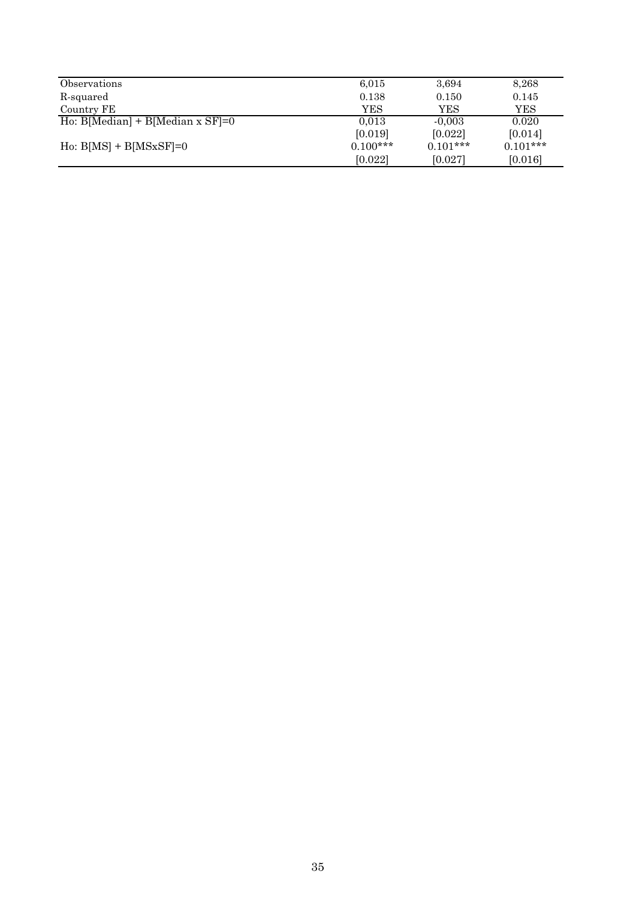| Observations                                   | 6,015      | 3,694      | 8,268      |
|------------------------------------------------|------------|------------|------------|
| R-squared                                      | 0.138      | 0.150      | 0.145      |
| Country FE                                     | YES        | YES        | YES        |
| $\overline{Ho}$ : B[Median] + B[Median x SF]=0 | 0.013      | $-0.003$   | 0.020      |
|                                                | [0.019]    | [0.022]    | [0.014]    |
| $H_0$ : $B[MS] + B[MSxSF]=0$                   | $0.100***$ | $0.101***$ | $0.101***$ |
|                                                | [0.022]    | [0.027]    | [0.016]    |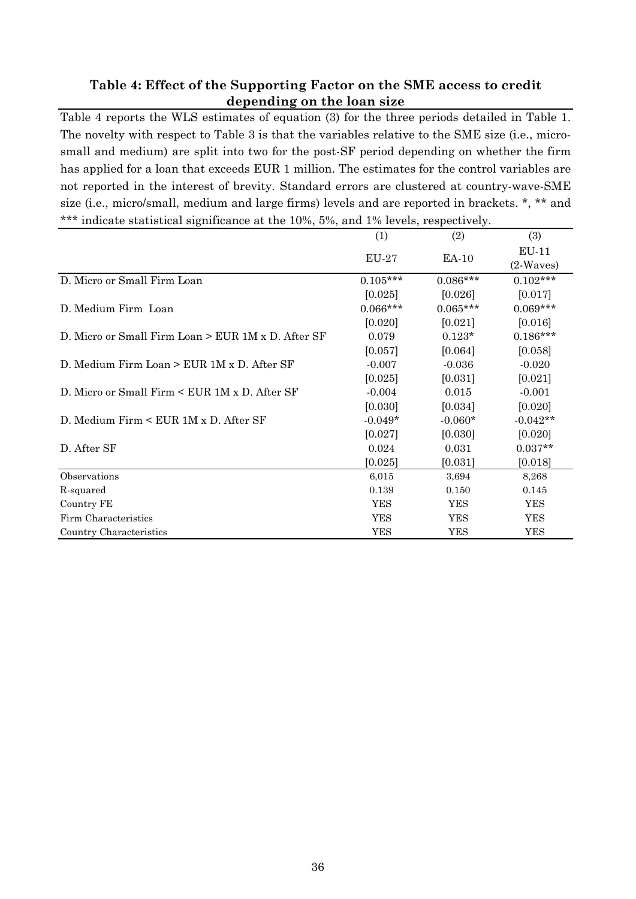### **Table 4: Effect of the Supporting Factor on the SME access to credit depending on the loan size**

Table 4 reports the WLS estimates of equation (3) for the three periods detailed in Table 1. The novelty with respect to Table 3 is that the variables relative to the SME size (i.e., microsmall and medium) are split into two for the post-SF period depending on whether the firm has applied for a loan that exceeds EUR 1 million. The estimates for the control variables are not reported in the interest of brevity. Standard errors are clustered at country-wave-SME size (i.e., micro/small, medium and large firms) levels and are reported in brackets. \*, \*\* and \*\*\* indicate statistical significance at the 10%, 5%, and 1% levels, respectively.

|                                                      | (1)          | (2)        | (3)         |
|------------------------------------------------------|--------------|------------|-------------|
|                                                      | <b>EU-27</b> | EA-10      | $EU-11$     |
|                                                      |              |            | $(2-Waves)$ |
| D. Micro or Small Firm Loan                          | $0.105***$   | $0.086***$ | $0.102***$  |
|                                                      | [0.025]      | [0.026]    | [0.017]     |
| D. Medium Firm Loan                                  | $0.066***$   | $0.065***$ | $0.069***$  |
|                                                      | [0.020]      | [0.021]    | [0.016]     |
| D. Micro or Small Firm Loan $>$ EUR 1M x D. After SF | 0.079        | $0.123*$   | $0.186***$  |
|                                                      | [0.057]      | [0.064]    | [0.058]     |
| D. Medium Firm Loan $>$ EUR 1M x D. After SF         | $-0.007$     | $-0.036$   | $-0.020$    |
|                                                      | [0.025]      | [0.031]    | [0.021]     |
| D. Micro or Small Firm $\lt$ EUR 1M x D. After SF    | $-0.004$     | 0.015      | $-0.001$    |
|                                                      | [0.030]      | [0.034]    | [0.020]     |
| D. Medium Firm $\leq$ EUR 1M x D. After SF           | $-0.049*$    | $-0.060*$  | $-0.042**$  |
|                                                      | [0.027]      | [0.030]    | [0.020]     |
| D. After SF                                          | 0.024        | 0.031      | $0.037**$   |
|                                                      | [0.025]      | [0.031]    | [0.018]     |
| Observations                                         | 6,015        | 3,694      | 8,268       |
| R-squared                                            | 0.139        | 0.150      | 0.145       |
| Country FE                                           | <b>YES</b>   | YES        | YES         |
| Firm Characteristics                                 | <b>YES</b>   | <b>YES</b> | <b>YES</b>  |
| Country Characteristics                              | YES          | <b>YES</b> | <b>YES</b>  |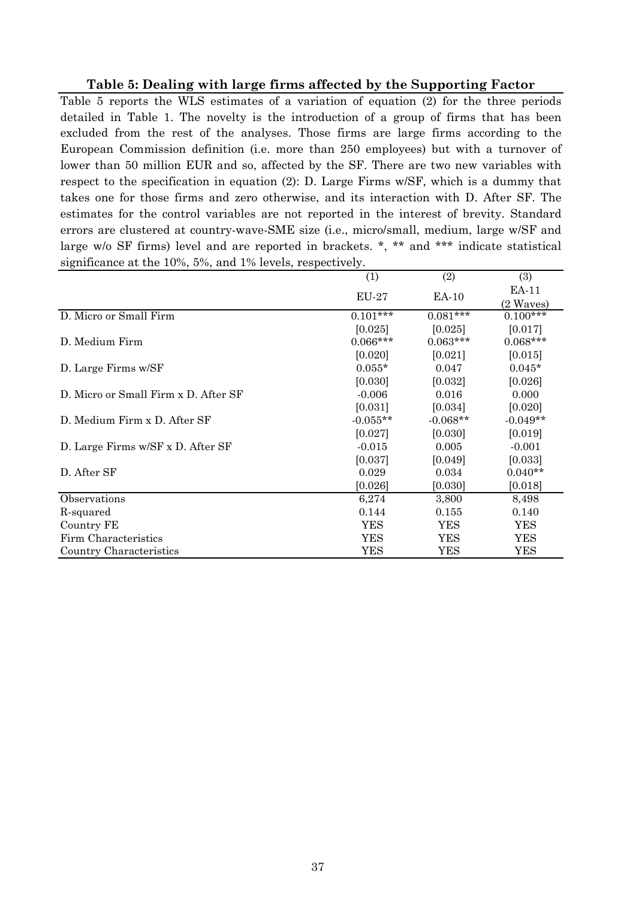### **Table 5: Dealing with large firms affected by the Supporting Factor**

Table 5 reports the WLS estimates of a variation of equation (2) for the three periods detailed in Table 1. The novelty is the introduction of a group of firms that has been excluded from the rest of the analyses. Those firms are large firms according to the European Commission definition (i.e. more than 250 employees) but with a turnover of lower than 50 million EUR and so, affected by the SF. There are two new variables with respect to the specification in equation (2): D. Large Firms w/SF, which is a dummy that takes one for those firms and zero otherwise, and its interaction with D. After SF. The estimates for the control variables are not reported in the interest of brevity. Standard errors are clustered at country-wave-SME size (i.e., micro/small, medium, large w/SF and large w/o SF firms) level and are reported in brackets. \*, \*\* and \*\*\* indicate statistical significance at the 10%, 5%, and 1% levels, respectively.

|                                      | (1)        | (2)        | (3)        |
|--------------------------------------|------------|------------|------------|
|                                      | EU-27      | EA-10      | EA-11      |
|                                      |            |            | (2 Waves)  |
| D. Micro or Small Firm               | $0.101***$ | $0.081***$ | $0.100***$ |
|                                      | [0.025]    | [0.025]    | [0.017]    |
| D. Medium Firm                       | $0.066***$ | $0.063***$ | $0.068***$ |
|                                      | [0.020]    | [0.021]    | [0.015]    |
| D. Large Firms w/SF                  | $0.055*$   | 0.047      | $0.045*$   |
|                                      | [0.030]    | [0.032]    | [0.026]    |
| D. Micro or Small Firm x D. After SF | $-0.006$   | 0.016      | 0.000      |
|                                      | [0.031]    | [0.034]    | [0.020]    |
| D. Medium Firm x D. After SF         | $-0.055**$ | $-0.068**$ | $-0.049**$ |
|                                      | [0.027]    | [0.030]    | [0.019]    |
| D. Large Firms w/SF x D. After SF    | $-0.015$   | 0.005      | $-0.001$   |
|                                      | [0.037]    | [0.049]    | [0.033]    |
| D. After SF                          | 0.029      | 0.034      | $0.040**$  |
|                                      | [0.026]    | [0.030]    | [0.018]    |
| Observations                         | 6,274      | 3,800      | 8,498      |
| R-squared                            | 0.144      | 0.155      | 0.140      |
| Country FE                           | <b>YES</b> | YES        | <b>YES</b> |
| Firm Characteristics                 | YES        | YES        | YES        |
| Country Characteristics              | <b>YES</b> | <b>YES</b> | <b>YES</b> |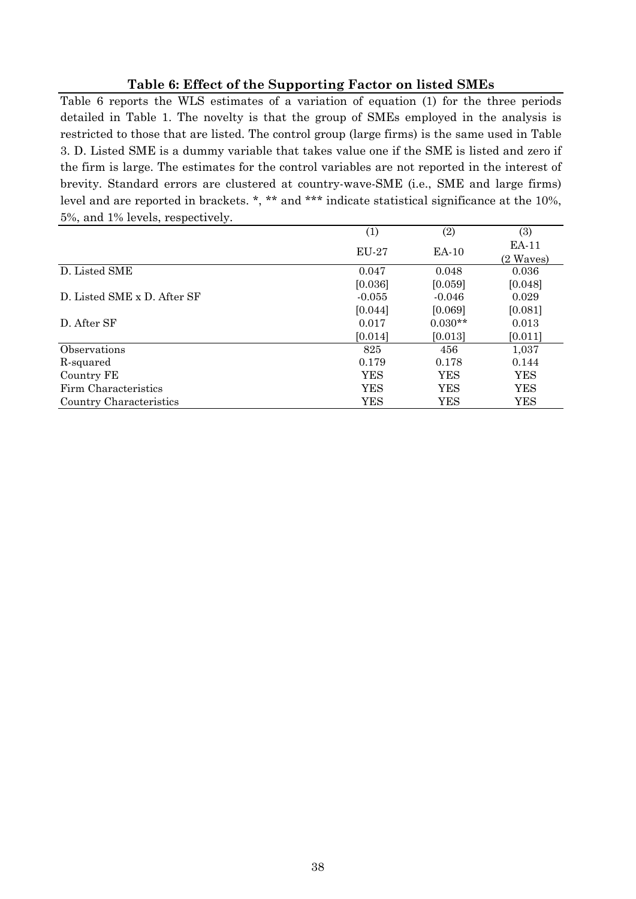### **Table 6: Effect of the Supporting Factor on listed SMEs**

Table 6 reports the WLS estimates of a variation of equation (1) for the three periods detailed in Table 1. The novelty is that the group of SMEs employed in the analysis is restricted to those that are listed. The control group (large firms) is the same used in Table 3. D. Listed SME is a dummy variable that takes value one if the SME is listed and zero if the firm is large. The estimates for the control variables are not reported in the interest of brevity. Standard errors are clustered at country-wave-SME (i.e., SME and large firms) level and are reported in brackets. \*, \*\* and \*\*\* indicate statistical significance at the 10%, 5%, and 1% levels, respectively.

|                             | $\scriptstyle{(1)}$ | (2)       | (3)          |
|-----------------------------|---------------------|-----------|--------------|
|                             | <b>EU-27</b>        | EA-10     | <b>EA-11</b> |
|                             |                     |           | (2 Waves)    |
| D. Listed SME               | 0.047               | 0.048     | 0.036        |
|                             | [0.036]             | [0.059]   | [0.048]      |
| D. Listed SME x D. After SF | $-0.055$            | $-0.046$  | 0.029        |
|                             | [0.044]             | [0.069]   | [0.081]      |
| D. After SF                 | 0.017               | $0.030**$ | 0.013        |
|                             | [0.014]             | [0.013]   | [0.011]      |
| Observations                | 825                 | 456       | 1,037        |
| R-squared                   | 0.179               | 0.178     | 0.144        |
| Country FE                  | <b>YES</b>          | YES       | YES          |
| Firm Characteristics        | <b>YES</b>          | YES       | YES          |
| Country Characteristics     | <b>YES</b>          | YES       | YES          |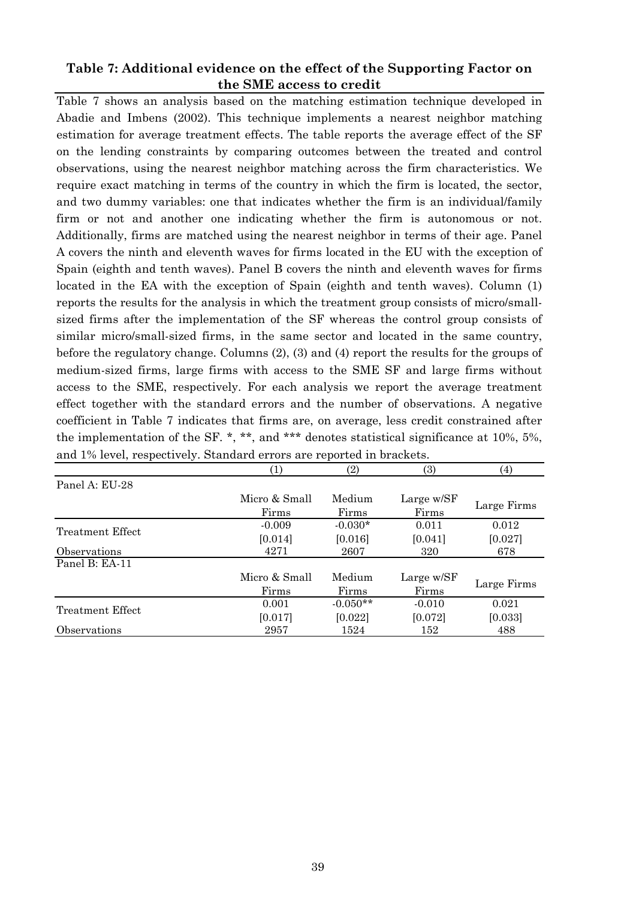### **Table 7: Additional evidence on the effect of the Supporting Factor on the SME access to credit**

Table 7 shows an analysis based on the matching estimation technique developed in Abadie and Imbens (2002). This technique implements a nearest neighbor matching estimation for average treatment effects. The table reports the average effect of the SF on the lending constraints by comparing outcomes between the treated and control observations, using the nearest neighbor matching across the firm characteristics. We require exact matching in terms of the country in which the firm is located, the sector, and two dummy variables: one that indicates whether the firm is an individual/family firm or not and another one indicating whether the firm is autonomous or not. Additionally, firms are matched using the nearest neighbor in terms of their age. Panel A covers the ninth and eleventh waves for firms located in the EU with the exception of Spain (eighth and tenth waves). Panel B covers the ninth and eleventh waves for firms located in the EA with the exception of Spain (eighth and tenth waves). Column (1) reports the results for the analysis in which the treatment group consists of micro/smallsized firms after the implementation of the SF whereas the control group consists of similar micro/small-sized firms, in the same sector and located in the same country, before the regulatory change. Columns (2), (3) and (4) report the results for the groups of medium-sized firms, large firms with access to the SME SF and large firms without access to the SME, respectively. For each analysis we report the average treatment effect together with the standard errors and the number of observations. A negative coefficient in Table 7 indicates that firms are, on average, less credit constrained after the implementation of the SF. \*, \*\*, and \*\*\* denotes statistical significance at 10%, 5%, and 1% level, respectively. Standard errors are reported in brackets.

|                  | $\left( 1\right)$ | (2)        | (3)        | (4)         |
|------------------|-------------------|------------|------------|-------------|
| Panel A: EU-28   |                   |            |            |             |
|                  | Micro & Small     | Medium     | Large w/SF |             |
|                  | Firms             | Firms      | Firms      | Large Firms |
| Treatment Effect | $-0.009$          | $-0.030*$  | 0.011      | 0.012       |
|                  | [0.014]           | [0.016]    | [0.041]    | [0.027]     |
| Observations     | 4271              | 2607       | 320        | 678         |
| Panel B: EA-11   |                   |            |            |             |
|                  | Micro & Small     | Medium     | Large w/SF |             |
|                  | Firms             | Firms      | Firms      | Large Firms |
| Treatment Effect | 0.001             | $-0.050**$ | $-0.010$   | 0.021       |
|                  | [0.017]           | [0.022]    | [0.072]    | [0.033]     |
| Observations     | 2957              | 1524       | 152        | 488         |